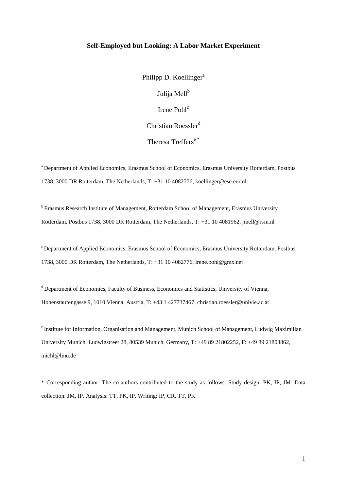#### **Self-Employed but Looking: A Labor Market Experiment**

Philipp D. Koellinger<sup>a</sup> Julija Mell<sup>b</sup> Irene Pohl<sup>c</sup> Christian Roessler $d$ 

Theresa Treffers<sup>e\*</sup>

<sup>a</sup> Department of Applied Economics, Erasmus School of Economics, Erasmus University Rotterdam, Postbus 1738, 3000 DR Rotterdam, The Netherlands, T: +31 10 4082776, koellinger@ese.eur.nl

<sup>b</sup> Erasmus Research Institute of Management, Rotterdam School of Management, Erasmus University Rotterdam, Postbus 1738, 3000 DR Rotterdam, The Netherlands, T: +31 10 4081962, jmell@rsm.nl

<sup>c</sup> Department of Applied Economics, Erasmus School of Economics, Erasmus University Rotterdam, Postbus 1738, 3000 DR Rotterdam, The Netherlands, T: +31 10 4082776, irene.pohl@gmx.net

<sup>d</sup> Department of Economics, Faculty of Business, Economics and Statistics, University of Vienna, Hohenstaufengasse 9, 1010 Vienna, Austria, T: +43 1 427737467, christian.roessler@univie.ac.at

<sup>e</sup> Institute for Information, Organisation and Management, Munich School of Management, Ludwig Maximilian University Munich, Ludwigstreet 28, 80539 Munich, Germany, T: +49 89 21802252, F: +49 89 21803862, michl@lmu.de

\* Corresponding author. The co-authors contributed to the study as follows. Study design: PK, IP, JM. Data collection: JM, IP. Analysis: TT, PK, IP. Writing: IP, CR, TT, PK.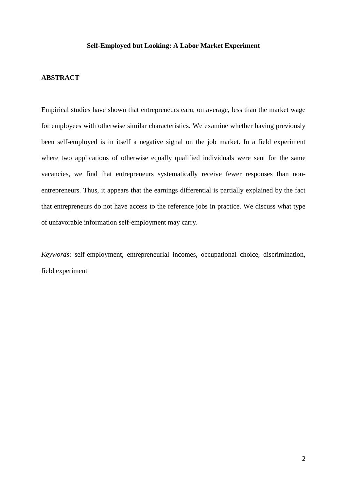#### **Self-Employed but Looking: A Labor Market Experiment**

#### **ABSTRACT**

Empirical studies have shown that entrepreneurs earn, on average, less than the market wage for employees with otherwise similar characteristics. We examine whether having previously been self-employed is in itself a negative signal on the job market. In a field experiment where two applications of otherwise equally qualified individuals were sent for the same vacancies, we find that entrepreneurs systematically receive fewer responses than nonentrepreneurs. Thus, it appears that the earnings differential is partially explained by the fact that entrepreneurs do not have access to the reference jobs in practice. We discuss what type of unfavorable information self-employment may carry.

*Keywords*: self-employment, entrepreneurial incomes, occupational choice, discrimination, field experiment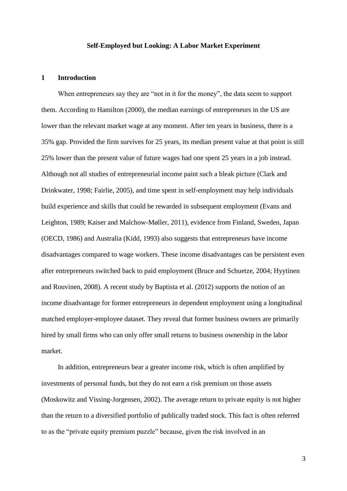#### **Self-Employed but Looking: A Labor Market Experiment**

#### **1 Introduction**

When entrepreneurs say they are "not in it for the money", the data seem to support them. According to Hamilton (2000), the median earnings of entrepreneurs in the US are lower than the relevant market wage at any moment. After ten years in business, there is a 35% gap. Provided the firm survives for 25 years, its median present value at that point is still 25% lower than the present value of future wages had one spent 25 years in a job instead. Although not all studies of entrepreneurial income paint such a bleak picture (Clark and Drinkwater, 1998; Fairlie, 2005), and time spent in self-employment may help individuals build experience and skills that could be rewarded in subsequent employment (Evans and Leighton, 1989; Kaiser and Malchow-Møller, 2011), evidence from Finland, Sweden, Japan (OECD, 1986) and Australia (Kidd, 1993) also suggests that entrepreneurs have income disadvantages compared to wage workers. These income disadvantages can be persistent even after entrepreneurs switched back to paid employment (Bruce and Schuetze, 2004; Hyytinen and Rouvinen, 2008). A recent study by Baptista et al. (2012) supports the notion of an income disadvantage for former entrepreneurs in dependent employment using a longitudinal matched employer-employee dataset. They reveal that former business owners are primarily hired by small firms who can only offer small returns to business ownership in the labor market.

In addition, entrepreneurs bear a greater income risk, which is often amplified by investments of personal funds, but they do not earn a risk premium on those assets (Moskowitz and Vissing-Jorgensen, 2002). The average return to private equity is not higher than the return to a diversified portfolio of publically traded stock. This fact is often referred to as the "private equity premium puzzle" because, given the risk involved in an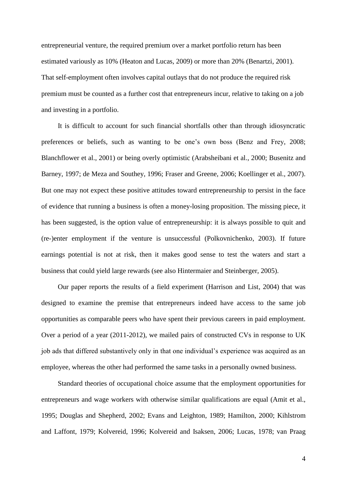entrepreneurial venture, the required premium over a market portfolio return has been estimated variously as 10% (Heaton and Lucas, 2009) or more than 20% (Benartzi, 2001). That self-employment often involves capital outlays that do not produce the required risk premium must be counted as a further cost that entrepreneurs incur, relative to taking on a job and investing in a portfolio.

It is difficult to account for such financial shortfalls other than through idiosyncratic preferences or beliefs, such as wanting to be one's own boss (Benz and Frey, 2008; Blanchflower et al., 2001) or being overly optimistic (Arabsheibani et al., 2000; Busenitz and Barney, 1997; de Meza and Southey, 1996; Fraser and Greene, 2006; Koellinger et al., 2007). But one may not expect these positive attitudes toward entrepreneurship to persist in the face of evidence that running a business is often a money-losing proposition. The missing piece, it has been suggested, is the option value of entrepreneurship: it is always possible to quit and (re-)enter employment if the venture is unsuccessful (Polkovnichenko, 2003). If future earnings potential is not at risk, then it makes good sense to test the waters and start a business that could yield large rewards (see also Hintermaier and Steinberger, 2005).

Our paper reports the results of a field experiment (Harrison and List, 2004) that was designed to examine the premise that entrepreneurs indeed have access to the same job opportunities as comparable peers who have spent their previous careers in paid employment. Over a period of a year (2011-2012), we mailed pairs of constructed CVs in response to UK job ads that differed substantively only in that one individual's experience was acquired as an employee, whereas the other had performed the same tasks in a personally owned business.

Standard theories of occupational choice assume that the employment opportunities for entrepreneurs and wage workers with otherwise similar qualifications are equal (Amit et al., 1995; Douglas and Shepherd, 2002; Evans and Leighton, 1989; Hamilton, 2000; Kihlstrom and Laffont, 1979; Kolvereid, 1996; Kolvereid and Isaksen, 2006; Lucas, 1978; van Praag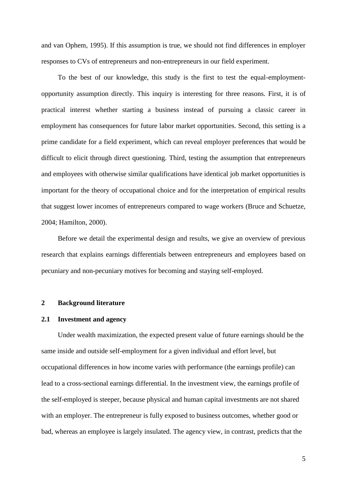and van Ophem, 1995). If this assumption is true, we should not find differences in employer responses to CVs of entrepreneurs and non-entrepreneurs in our field experiment.

To the best of our knowledge, this study is the first to test the equal-employmentopportunity assumption directly. This inquiry is interesting for three reasons. First, it is of practical interest whether starting a business instead of pursuing a classic career in employment has consequences for future labor market opportunities. Second, this setting is a prime candidate for a field experiment, which can reveal employer preferences that would be difficult to elicit through direct questioning. Third, testing the assumption that entrepreneurs and employees with otherwise similar qualifications have identical job market opportunities is important for the theory of occupational choice and for the interpretation of empirical results that suggest lower incomes of entrepreneurs compared to wage workers (Bruce and Schuetze, 2004; Hamilton, 2000).

Before we detail the experimental design and results, we give an overview of previous research that explains earnings differentials between entrepreneurs and employees based on pecuniary and non-pecuniary motives for becoming and staying self-employed.

#### **2 Background literature**

#### **2.1 Investment and agency**

Under wealth maximization, the expected present value of future earnings should be the same inside and outside self-employment for a given individual and effort level, but occupational differences in how income varies with performance (the earnings profile) can lead to a cross-sectional earnings differential. In the investment view, the earnings profile of the self-employed is steeper, because physical and human capital investments are not shared with an employer. The entrepreneur is fully exposed to business outcomes, whether good or bad, whereas an employee is largely insulated. The agency view, in contrast, predicts that the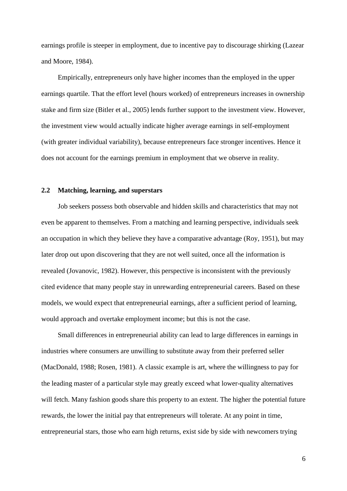earnings profile is steeper in employment, due to incentive pay to discourage shirking (Lazear and Moore, 1984).

Empirically, entrepreneurs only have higher incomes than the employed in the upper earnings quartile. That the effort level (hours worked) of entrepreneurs increases in ownership stake and firm size (Bitler et al., 2005) lends further support to the investment view. However, the investment view would actually indicate higher average earnings in self-employment (with greater individual variability), because entrepreneurs face stronger incentives. Hence it does not account for the earnings premium in employment that we observe in reality.

### **2.2 Matching, learning, and superstars**

Job seekers possess both observable and hidden skills and characteristics that may not even be apparent to themselves. From a matching and learning perspective, individuals seek an occupation in which they believe they have a comparative advantage (Roy, 1951), but may later drop out upon discovering that they are not well suited, once all the information is revealed (Jovanovic, 1982). However, this perspective is inconsistent with the previously cited evidence that many people stay in unrewarding entrepreneurial careers. Based on these models, we would expect that entrepreneurial earnings, after a sufficient period of learning, would approach and overtake employment income; but this is not the case.

Small differences in entrepreneurial ability can lead to large differences in earnings in industries where consumers are unwilling to substitute away from their preferred seller (MacDonald, 1988; Rosen, 1981). A classic example is art, where the willingness to pay for the leading master of a particular style may greatly exceed what lower-quality alternatives will fetch. Many fashion goods share this property to an extent. The higher the potential future rewards, the lower the initial pay that entrepreneurs will tolerate. At any point in time, entrepreneurial stars, those who earn high returns, exist side by side with newcomers trying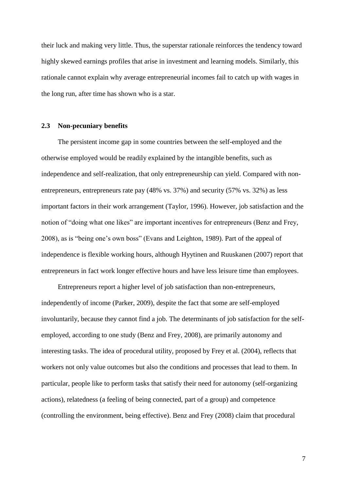their luck and making very little. Thus, the superstar rationale reinforces the tendency toward highly skewed earnings profiles that arise in investment and learning models. Similarly, this rationale cannot explain why average entrepreneurial incomes fail to catch up with wages in the long run, after time has shown who is a star.

#### **2.3 Non-pecuniary benefits**

The persistent income gap in some countries between the self-employed and the otherwise employed would be readily explained by the intangible benefits, such as independence and self-realization, that only entrepreneurship can yield. Compared with nonentrepreneurs, entrepreneurs rate pay (48% vs. 37%) and security (57% vs. 32%) as less important factors in their work arrangement (Taylor, 1996). However, job satisfaction and the notion of "doing what one likes" are important incentives for entrepreneurs (Benz and Frey, 2008), as is "being one's own boss" (Evans and Leighton, 1989). Part of the appeal of independence is flexible working hours, although Hyytinen and Ruuskanen (2007) report that entrepreneurs in fact work longer effective hours and have less leisure time than employees.

Entrepreneurs report a higher level of job satisfaction than non-entrepreneurs, independently of income (Parker, 2009), despite the fact that some are self-employed involuntarily, because they cannot find a job. The determinants of job satisfaction for the selfemployed, according to one study (Benz and Frey, 2008), are primarily autonomy and interesting tasks. The idea of procedural utility, proposed by Frey et al. (2004), reflects that workers not only value outcomes but also the conditions and processes that lead to them. In particular, people like to perform tasks that satisfy their need for autonomy (self-organizing actions), relatedness (a feeling of being connected, part of a group) and competence (controlling the environment, being effective). Benz and Frey (2008) claim that procedural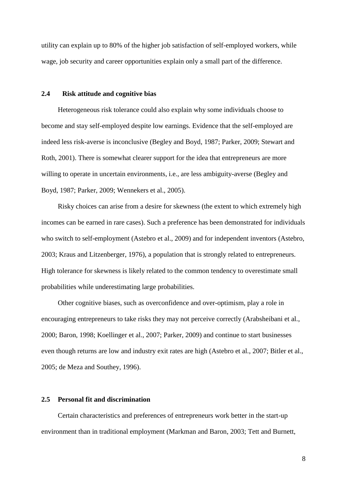utility can explain up to 80% of the higher job satisfaction of self-employed workers, while wage, job security and career opportunities explain only a small part of the difference.

#### **2.4 Risk attitude and cognitive bias**

Heterogeneous risk tolerance could also explain why some individuals choose to become and stay self-employed despite low earnings. Evidence that the self-employed are indeed less risk-averse is inconclusive (Begley and Boyd, 1987; Parker, 2009; Stewart and Roth, 2001). There is somewhat clearer support for the idea that entrepreneurs are more willing to operate in uncertain environments, i.e., are less ambiguity-averse (Begley and Boyd, 1987; Parker, 2009; Wennekers et al., 2005).

Risky choices can arise from a desire for skewness (the extent to which extremely high incomes can be earned in rare cases). Such a preference has been demonstrated for individuals who switch to self-employment (Astebro et al., 2009) and for independent inventors (Astebro, 2003; Kraus and Litzenberger, 1976), a population that is strongly related to entrepreneurs. High tolerance for skewness is likely related to the common tendency to overestimate small probabilities while underestimating large probabilities.

Other cognitive biases, such as overconfidence and over-optimism, play a role in encouraging entrepreneurs to take risks they may not perceive correctly (Arabsheibani et al., 2000; Baron, 1998; Koellinger et al., 2007; Parker, 2009) and continue to start businesses even though returns are low and industry exit rates are high (Astebro et al., 2007; Bitler et al., 2005; de Meza and Southey, 1996).

#### **2.5 Personal fit and discrimination**

Certain characteristics and preferences of entrepreneurs work better in the start-up environment than in traditional employment (Markman and Baron, 2003; Tett and Burnett,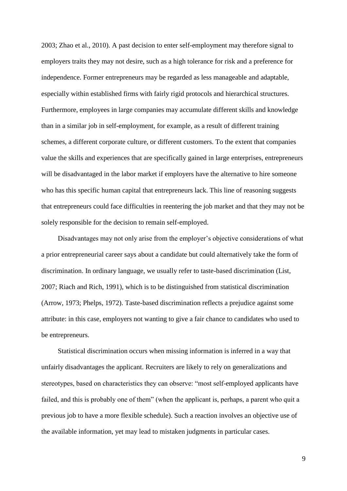2003; Zhao et al., 2010). A past decision to enter self-employment may therefore signal to employers traits they may not desire, such as a high tolerance for risk and a preference for independence. Former entrepreneurs may be regarded as less manageable and adaptable, especially within established firms with fairly rigid protocols and hierarchical structures. Furthermore, employees in large companies may accumulate different skills and knowledge than in a similar job in self-employment, for example, as a result of different training schemes, a different corporate culture, or different customers. To the extent that companies value the skills and experiences that are specifically gained in large enterprises, entrepreneurs will be disadvantaged in the labor market if employers have the alternative to hire someone who has this specific human capital that entrepreneurs lack. This line of reasoning suggests that entrepreneurs could face difficulties in reentering the job market and that they may not be solely responsible for the decision to remain self-employed.

Disadvantages may not only arise from the employer's objective considerations of what a prior entrepreneurial career says about a candidate but could alternatively take the form of discrimination. In ordinary language, we usually refer to taste-based discrimination (List, 2007; Riach and Rich, 1991), which is to be distinguished from statistical discrimination (Arrow, 1973; Phelps, 1972). Taste-based discrimination reflects a prejudice against some attribute: in this case, employers not wanting to give a fair chance to candidates who used to be entrepreneurs.

Statistical discrimination occurs when missing information is inferred in a way that unfairly disadvantages the applicant. Recruiters are likely to rely on generalizations and stereotypes, based on characteristics they can observe: "most self-employed applicants have failed, and this is probably one of them" (when the applicant is, perhaps, a parent who quit a previous job to have a more flexible schedule). Such a reaction involves an objective use of the available information, yet may lead to mistaken judgments in particular cases.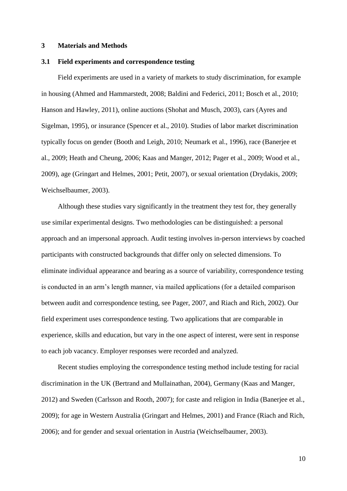#### **3 Materials and Methods**

#### **3.1 Field experiments and correspondence testing**

Field experiments are used in a variety of markets to study discrimination, for example in housing (Ahmed and Hammarstedt, 2008; Baldini and Federici, 2011; Bosch et al., 2010; Hanson and Hawley, 2011), online auctions (Shohat and Musch, 2003), cars (Ayres and Sigelman, 1995), or insurance (Spencer et al., 2010). Studies of labor market discrimination typically focus on gender (Booth and Leigh, 2010; Neumark et al., 1996), race (Banerjee et al., 2009; Heath and Cheung, 2006; Kaas and Manger, 2012; Pager et al., 2009; Wood et al., 2009), age (Gringart and Helmes, 2001; Petit, 2007), or sexual orientation (Drydakis, 2009; Weichselbaumer, 2003).

Although these studies vary significantly in the treatment they test for, they generally use similar experimental designs. Two methodologies can be distinguished: a personal approach and an impersonal approach. Audit testing involves in-person interviews by coached participants with constructed backgrounds that differ only on selected dimensions. To eliminate individual appearance and bearing as a source of variability, correspondence testing is conducted in an arm's length manner, via mailed applications (for a detailed comparison between audit and correspondence testing, see Pager, 2007, and Riach and Rich, 2002). Our field experiment uses correspondence testing. Two applications that are comparable in experience, skills and education, but vary in the one aspect of interest, were sent in response to each job vacancy. Employer responses were recorded and analyzed.

Recent studies employing the correspondence testing method include testing for racial discrimination in the UK (Bertrand and Mullainathan, 2004), Germany (Kaas and Manger, 2012) and Sweden (Carlsson and Rooth, 2007); for caste and religion in India (Banerjee et al., 2009); for age in Western Australia (Gringart and Helmes, 2001) and France (Riach and Rich, 2006); and for gender and sexual orientation in Austria (Weichselbaumer, 2003).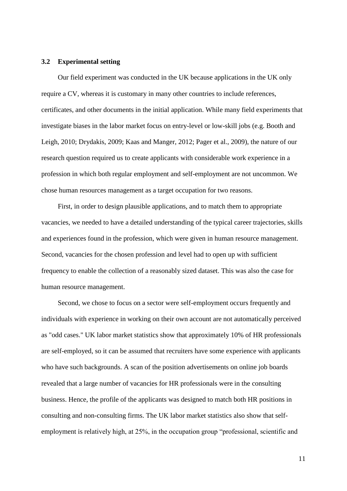#### **3.2 Experimental setting**

Our field experiment was conducted in the UK because applications in the UK only require a CV, whereas it is customary in many other countries to include references, certificates, and other documents in the initial application. While many field experiments that investigate biases in the labor market focus on entry-level or low-skill jobs (e.g. Booth and Leigh, 2010; Drydakis, 2009; Kaas and Manger, 2012; Pager et al., 2009), the nature of our research question required us to create applicants with considerable work experience in a profession in which both regular employment and self-employment are not uncommon. We chose human resources management as a target occupation for two reasons.

First, in order to design plausible applications, and to match them to appropriate vacancies, we needed to have a detailed understanding of the typical career trajectories, skills and experiences found in the profession, which were given in human resource management. Second, vacancies for the chosen profession and level had to open up with sufficient frequency to enable the collection of a reasonably sized dataset. This was also the case for human resource management.

Second, we chose to focus on a sector were self-employment occurs frequently and individuals with experience in working on their own account are not automatically perceived as "odd cases." UK labor market statistics show that approximately 10% of HR professionals are self-employed, so it can be assumed that recruiters have some experience with applicants who have such backgrounds. A scan of the position advertisements on online job boards revealed that a large number of vacancies for HR professionals were in the consulting business. Hence, the profile of the applicants was designed to match both HR positions in consulting and non-consulting firms. The UK labor market statistics also show that selfemployment is relatively high, at 25%, in the occupation group "professional, scientific and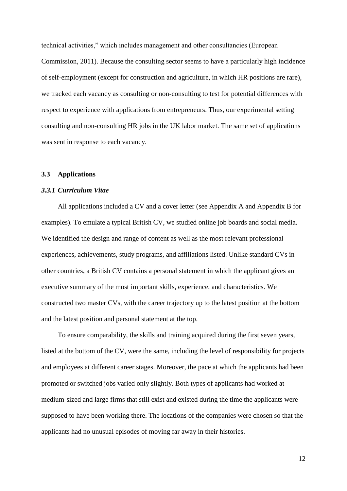technical activities," which includes management and other consultancies (European Commission, 2011). Because the consulting sector seems to have a particularly high incidence of self-employment (except for construction and agriculture, in which HR positions are rare), we tracked each vacancy as consulting or non-consulting to test for potential differences with respect to experience with applications from entrepreneurs. Thus, our experimental setting consulting and non-consulting HR jobs in the UK labor market. The same set of applications was sent in response to each vacancy.

#### **3.3 Applications**

#### *3.3.1 Curriculum Vitae*

All applications included a CV and a cover letter (see Appendix A and Appendix B for examples). To emulate a typical British CV, we studied online job boards and social media. We identified the design and range of content as well as the most relevant professional experiences, achievements, study programs, and affiliations listed. Unlike standard CVs in other countries, a British CV contains a personal statement in which the applicant gives an executive summary of the most important skills, experience, and characteristics. We constructed two master CVs, with the career trajectory up to the latest position at the bottom and the latest position and personal statement at the top.

To ensure comparability, the skills and training acquired during the first seven years, listed at the bottom of the CV, were the same, including the level of responsibility for projects and employees at different career stages. Moreover, the pace at which the applicants had been promoted or switched jobs varied only slightly. Both types of applicants had worked at medium-sized and large firms that still exist and existed during the time the applicants were supposed to have been working there. The locations of the companies were chosen so that the applicants had no unusual episodes of moving far away in their histories.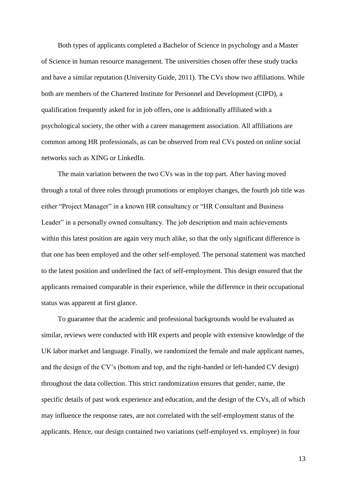Both types of applicants completed a Bachelor of Science in psychology and a Master of Science in human resource management. The universities chosen offer these study tracks and have a similar reputation (University Guide, 2011). The CVs show two affiliations. While both are members of the Chartered Institute for Personnel and Development (CIPD), a qualification frequently asked for in job offers, one is additionally affiliated with a psychological society, the other with a career management association. All affiliations are common among HR professionals, as can be observed from real CVs posted on online social networks such as XING or LinkedIn.

The main variation between the two CVs was in the top part. After having moved through a total of three roles through promotions or employer changes, the fourth job title was either "Project Manager" in a known HR consultancy or "HR Consultant and Business Leader" in a personally owned consultancy. The job description and main achievements within this latest position are again very much alike, so that the only significant difference is that one has been employed and the other self-employed. The personal statement was matched to the latest position and underlined the fact of self-employment. This design ensured that the applicants remained comparable in their experience, while the difference in their occupational status was apparent at first glance.

To guarantee that the academic and professional backgrounds would be evaluated as similar, reviews were conducted with HR experts and people with extensive knowledge of the UK labor market and language. Finally, we randomized the female and male applicant names, and the design of the CV's (bottom and top, and the right-handed or left-handed CV design) throughout the data collection. This strict randomization ensures that gender, name, the specific details of past work experience and education, and the design of the CVs, all of which may influence the response rates, are not correlated with the self-employment status of the applicants. Hence, our design contained two variations (self-employed vs. employee) in four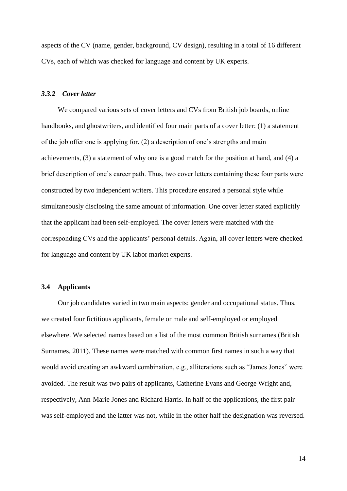aspects of the CV (name, gender, background, CV design), resulting in a total of 16 different CVs, each of which was checked for language and content by UK experts.

#### *3.3.2 Cover letter*

We compared various sets of cover letters and CVs from British job boards, online handbooks, and ghostwriters, and identified four main parts of a cover letter: (1) a statement of the job offer one is applying for, (2) a description of one's strengths and main achievements, (3) a statement of why one is a good match for the position at hand, and (4) a brief description of one's career path. Thus, two cover letters containing these four parts were constructed by two independent writers. This procedure ensured a personal style while simultaneously disclosing the same amount of information. One cover letter stated explicitly that the applicant had been self-employed. The cover letters were matched with the corresponding CVs and the applicants' personal details. Again, all cover letters were checked for language and content by UK labor market experts.

#### **3.4 Applicants**

Our job candidates varied in two main aspects: gender and occupational status. Thus, we created four fictitious applicants, female or male and self-employed or employed elsewhere. We selected names based on a list of the most common British surnames (British Surnames, 2011). These names were matched with common first names in such a way that would avoid creating an awkward combination, e.g., alliterations such as "James Jones" were avoided. The result was two pairs of applicants, Catherine Evans and George Wright and, respectively, Ann-Marie Jones and Richard Harris. In half of the applications, the first pair was self-employed and the latter was not, while in the other half the designation was reversed.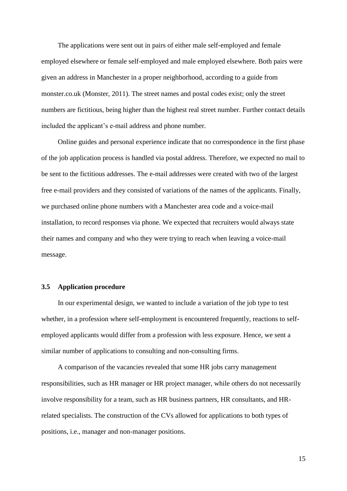The applications were sent out in pairs of either male self-employed and female employed elsewhere or female self-employed and male employed elsewhere. Both pairs were given an address in Manchester in a proper neighborhood, according to a guide from monster.co.uk (Monster, 2011). The street names and postal codes exist; only the street numbers are fictitious, being higher than the highest real street number. Further contact details included the applicant's e-mail address and phone number.

Online guides and personal experience indicate that no correspondence in the first phase of the job application process is handled via postal address. Therefore, we expected no mail to be sent to the fictitious addresses. The e-mail addresses were created with two of the largest free e-mail providers and they consisted of variations of the names of the applicants. Finally, we purchased online phone numbers with a Manchester area code and a voice-mail installation, to record responses via phone. We expected that recruiters would always state their names and company and who they were trying to reach when leaving a voice-mail message.

#### **3.5 Application procedure**

In our experimental design, we wanted to include a variation of the job type to test whether, in a profession where self-employment is encountered frequently, reactions to selfemployed applicants would differ from a profession with less exposure. Hence, we sent a similar number of applications to consulting and non-consulting firms.

A comparison of the vacancies revealed that some HR jobs carry management responsibilities, such as HR manager or HR project manager, while others do not necessarily involve responsibility for a team, such as HR business partners, HR consultants, and HRrelated specialists. The construction of the CVs allowed for applications to both types of positions, i.e., manager and non-manager positions.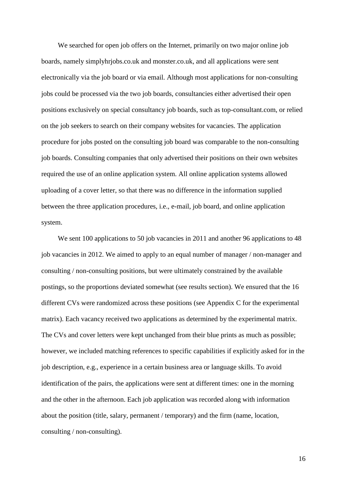We searched for open job offers on the Internet, primarily on two major online job boards, namely simplyhrjobs.co.uk and monster.co.uk, and all applications were sent electronically via the job board or via email. Although most applications for non-consulting jobs could be processed via the two job boards, consultancies either advertised their open positions exclusively on special consultancy job boards, such as top-consultant.com, or relied on the job seekers to search on their company websites for vacancies. The application procedure for jobs posted on the consulting job board was comparable to the non-consulting job boards. Consulting companies that only advertised their positions on their own websites required the use of an online application system. All online application systems allowed uploading of a cover letter, so that there was no difference in the information supplied between the three application procedures, i.e., e-mail, job board, and online application system.

We sent 100 applications to 50 job vacancies in 2011 and another 96 applications to 48 job vacancies in 2012. We aimed to apply to an equal number of manager / non-manager and consulting / non-consulting positions, but were ultimately constrained by the available postings, so the proportions deviated somewhat (see results section). We ensured that the 16 different CVs were randomized across these positions (see Appendix C for the experimental matrix). Each vacancy received two applications as determined by the experimental matrix. The CVs and cover letters were kept unchanged from their blue prints as much as possible; however, we included matching references to specific capabilities if explicitly asked for in the job description, e.g., experience in a certain business area or language skills. To avoid identification of the pairs, the applications were sent at different times: one in the morning and the other in the afternoon. Each job application was recorded along with information about the position (title, salary, permanent / temporary) and the firm (name, location, consulting / non-consulting).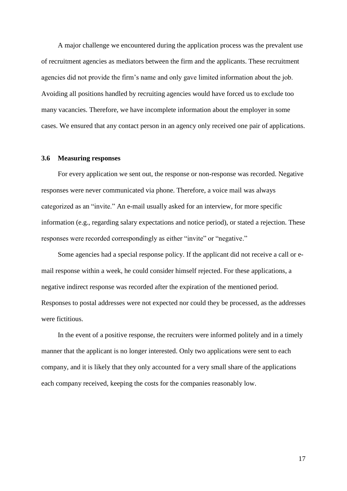A major challenge we encountered during the application process was the prevalent use of recruitment agencies as mediators between the firm and the applicants. These recruitment agencies did not provide the firm's name and only gave limited information about the job. Avoiding all positions handled by recruiting agencies would have forced us to exclude too many vacancies. Therefore, we have incomplete information about the employer in some cases. We ensured that any contact person in an agency only received one pair of applications.

#### **3.6 Measuring responses**

For every application we sent out, the response or non-response was recorded. Negative responses were never communicated via phone. Therefore, a voice mail was always categorized as an "invite." An e-mail usually asked for an interview, for more specific information (e.g., regarding salary expectations and notice period), or stated a rejection. These responses were recorded correspondingly as either "invite" or "negative."

Some agencies had a special response policy. If the applicant did not receive a call or email response within a week, he could consider himself rejected. For these applications, a negative indirect response was recorded after the expiration of the mentioned period. Responses to postal addresses were not expected nor could they be processed, as the addresses were fictitious.

In the event of a positive response, the recruiters were informed politely and in a timely manner that the applicant is no longer interested. Only two applications were sent to each company, and it is likely that they only accounted for a very small share of the applications each company received, keeping the costs for the companies reasonably low.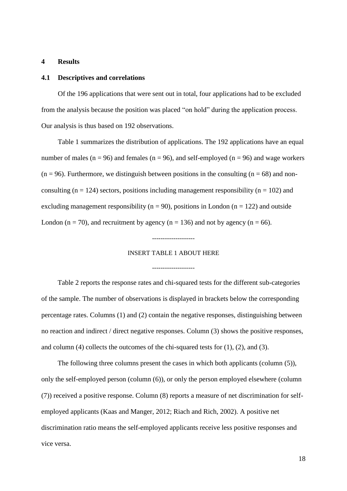#### **4 Results**

#### **4.1 Descriptives and correlations**

Of the 196 applications that were sent out in total, four applications had to be excluded from the analysis because the position was placed "on hold" during the application process. Our analysis is thus based on 192 observations.

Table 1 summarizes the distribution of applications. The 192 applications have an equal number of males ( $n = 96$ ) and females ( $n = 96$ ), and self-employed ( $n = 96$ ) and wage workers  $(n = 96)$ . Furthermore, we distinguish between positions in the consulting  $(n = 68)$  and nonconsulting  $(n = 124)$  sectors, positions including management responsibility  $(n = 102)$  and excluding management responsibility ( $n = 90$ ), positions in London ( $n = 122$ ) and outside London ( $n = 70$ ), and recruitment by agency ( $n = 136$ ) and not by agency ( $n = 66$ ).

#### INSERT TABLE 1 ABOUT HERE

--------------------

--------------------

Table 2 reports the response rates and chi-squared tests for the different sub-categories of the sample. The number of observations is displayed in brackets below the corresponding percentage rates. Columns (1) and (2) contain the negative responses, distinguishing between no reaction and indirect / direct negative responses. Column (3) shows the positive responses, and column (4) collects the outcomes of the chi-squared tests for (1), (2), and (3).

The following three columns present the cases in which both applicants (column (5)), only the self-employed person (column (6)), or only the person employed elsewhere (column (7)) received a positive response. Column (8) reports a measure of net discrimination for selfemployed applicants (Kaas and Manger, 2012; Riach and Rich, 2002). A positive net discrimination ratio means the self-employed applicants receive less positive responses and vice versa.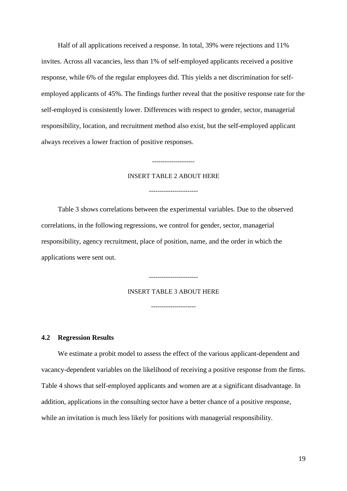Half of all applications received a response. In total, 39% were rejections and 11% invites. Across all vacancies, less than 1% of self-employed applicants received a positive response, while 6% of the regular employees did. This yields a net discrimination for selfemployed applicants of 45%. The findings further reveal that the positive response rate for the self-employed is consistently lower. Differences with respect to gender, sector, managerial responsibility, location, and recruitment method also exist, but the self-employed applicant always receives a lower fraction of positive responses.

## INSERT TABLE 2 ABOUT HERE

-----------------------

--------------------

Table 3 shows correlations between the experimental variables. Due to the observed correlations, in the following regressions, we control for gender, sector, managerial responsibility, agency recruitment, place of position, name, and the order in which the applications were sent out.

#### INSERT TABLE 3 ABOUT HERE

-----------------------

---------------------

#### **4.2 Regression Results**

We estimate a probit model to assess the effect of the various applicant-dependent and vacancy-dependent variables on the likelihood of receiving a positive response from the firms. Table 4 shows that self-employed applicants and women are at a significant disadvantage. In addition, applications in the consulting sector have a better chance of a positive response, while an invitation is much less likely for positions with managerial responsibility.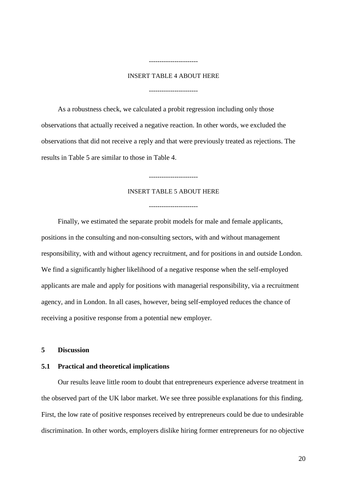#### INSERT TABLE 4 ABOUT HERE

-----------------------

-----------------------

As a robustness check, we calculated a probit regression including only those observations that actually received a negative reaction. In other words, we excluded the observations that did not receive a reply and that were previously treated as rejections. The results in Table 5 are similar to those in Table 4.

#### INSERT TABLE 5 ABOUT HERE

-----------------------

-----------------------

Finally, we estimated the separate probit models for male and female applicants, positions in the consulting and non-consulting sectors, with and without management responsibility, with and without agency recruitment, and for positions in and outside London. We find a significantly higher likelihood of a negative response when the self-employed applicants are male and apply for positions with managerial responsibility, via a recruitment agency, and in London. In all cases, however, being self-employed reduces the chance of receiving a positive response from a potential new employer.

#### **5 Discussion**

#### **5.1 Practical and theoretical implications**

Our results leave little room to doubt that entrepreneurs experience adverse treatment in the observed part of the UK labor market. We see three possible explanations for this finding. First, the low rate of positive responses received by entrepreneurs could be due to undesirable discrimination. In other words, employers dislike hiring former entrepreneurs for no objective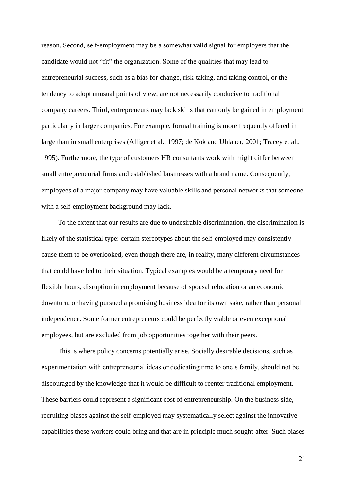reason. Second, self-employment may be a somewhat valid signal for employers that the candidate would not "fit" the organization. Some of the qualities that may lead to entrepreneurial success, such as a bias for change, risk-taking, and taking control, or the tendency to adopt unusual points of view, are not necessarily conducive to traditional company careers. Third, entrepreneurs may lack skills that can only be gained in employment, particularly in larger companies. For example, formal training is more frequently offered in large than in small enterprises (Alliger et al., 1997; de Kok and Uhlaner, 2001; Tracey et al., 1995). Furthermore, the type of customers HR consultants work with might differ between small entrepreneurial firms and established businesses with a brand name. Consequently, employees of a major company may have valuable skills and personal networks that someone with a self-employment background may lack.

To the extent that our results are due to undesirable discrimination, the discrimination is likely of the statistical type: certain stereotypes about the self-employed may consistently cause them to be overlooked, even though there are, in reality, many different circumstances that could have led to their situation. Typical examples would be a temporary need for flexible hours, disruption in employment because of spousal relocation or an economic downturn, or having pursued a promising business idea for its own sake, rather than personal independence. Some former entrepreneurs could be perfectly viable or even exceptional employees, but are excluded from job opportunities together with their peers.

This is where policy concerns potentially arise. Socially desirable decisions, such as experimentation with entrepreneurial ideas or dedicating time to one's family, should not be discouraged by the knowledge that it would be difficult to reenter traditional employment. These barriers could represent a significant cost of entrepreneurship. On the business side, recruiting biases against the self-employed may systematically select against the innovative capabilities these workers could bring and that are in principle much sought-after. Such biases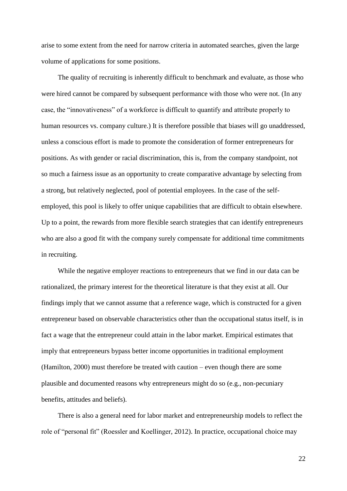arise to some extent from the need for narrow criteria in automated searches, given the large volume of applications for some positions.

The quality of recruiting is inherently difficult to benchmark and evaluate, as those who were hired cannot be compared by subsequent performance with those who were not. (In any case, the "innovativeness" of a workforce is difficult to quantify and attribute properly to human resources vs. company culture.) It is therefore possible that biases will go unaddressed, unless a conscious effort is made to promote the consideration of former entrepreneurs for positions. As with gender or racial discrimination, this is, from the company standpoint, not so much a fairness issue as an opportunity to create comparative advantage by selecting from a strong, but relatively neglected, pool of potential employees. In the case of the selfemployed, this pool is likely to offer unique capabilities that are difficult to obtain elsewhere. Up to a point, the rewards from more flexible search strategies that can identify entrepreneurs who are also a good fit with the company surely compensate for additional time commitments in recruiting.

While the negative employer reactions to entrepreneurs that we find in our data can be rationalized, the primary interest for the theoretical literature is that they exist at all. Our findings imply that we cannot assume that a reference wage, which is constructed for a given entrepreneur based on observable characteristics other than the occupational status itself, is in fact a wage that the entrepreneur could attain in the labor market. Empirical estimates that imply that entrepreneurs bypass better income opportunities in traditional employment (Hamilton, 2000) must therefore be treated with caution – even though there are some plausible and documented reasons why entrepreneurs might do so (e.g., non-pecuniary benefits, attitudes and beliefs).

There is also a general need for labor market and entrepreneurship models to reflect the role of "personal fit" (Roessler and Koellinger, 2012). In practice, occupational choice may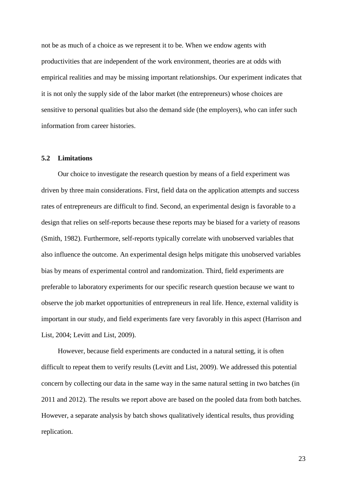not be as much of a choice as we represent it to be. When we endow agents with productivities that are independent of the work environment, theories are at odds with empirical realities and may be missing important relationships. Our experiment indicates that it is not only the supply side of the labor market (the entrepreneurs) whose choices are sensitive to personal qualities but also the demand side (the employers), who can infer such information from career histories.

#### **5.2 Limitations**

Our choice to investigate the research question by means of a field experiment was driven by three main considerations. First, field data on the application attempts and success rates of entrepreneurs are difficult to find. Second, an experimental design is favorable to a design that relies on self-reports because these reports may be biased for a variety of reasons (Smith, 1982). Furthermore, self-reports typically correlate with unobserved variables that also influence the outcome. An experimental design helps mitigate this unobserved variables bias by means of experimental control and randomization. Third, field experiments are preferable to laboratory experiments for our specific research question because we want to observe the job market opportunities of entrepreneurs in real life. Hence, external validity is important in our study, and field experiments fare very favorably in this aspect (Harrison and List, 2004; Levitt and List, 2009).

However, because field experiments are conducted in a natural setting, it is often difficult to repeat them to verify results (Levitt and List, 2009). We addressed this potential concern by collecting our data in the same way in the same natural setting in two batches (in 2011 and 2012). The results we report above are based on the pooled data from both batches. However, a separate analysis by batch shows qualitatively identical results, thus providing replication.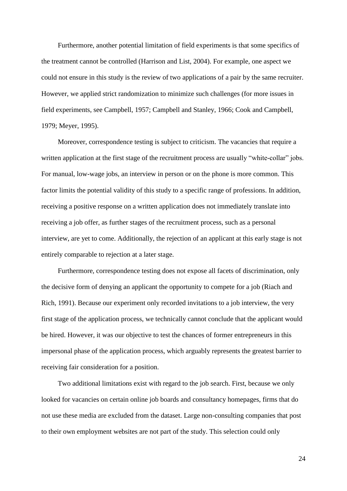Furthermore, another potential limitation of field experiments is that some specifics of the treatment cannot be controlled (Harrison and List, 2004). For example, one aspect we could not ensure in this study is the review of two applications of a pair by the same recruiter. However, we applied strict randomization to minimize such challenges (for more issues in field experiments, see Campbell, 1957; Campbell and Stanley, 1966; Cook and Campbell, 1979; Meyer, 1995).

Moreover, correspondence testing is subject to criticism. The vacancies that require a written application at the first stage of the recruitment process are usually "white-collar" jobs. For manual, low-wage jobs, an interview in person or on the phone is more common. This factor limits the potential validity of this study to a specific range of professions. In addition, receiving a positive response on a written application does not immediately translate into receiving a job offer, as further stages of the recruitment process, such as a personal interview, are yet to come. Additionally, the rejection of an applicant at this early stage is not entirely comparable to rejection at a later stage.

Furthermore, correspondence testing does not expose all facets of discrimination, only the decisive form of denying an applicant the opportunity to compete for a job (Riach and Rich, 1991). Because our experiment only recorded invitations to a job interview, the very first stage of the application process, we technically cannot conclude that the applicant would be hired. However, it was our objective to test the chances of former entrepreneurs in this impersonal phase of the application process, which arguably represents the greatest barrier to receiving fair consideration for a position.

Two additional limitations exist with regard to the job search. First, because we only looked for vacancies on certain online job boards and consultancy homepages, firms that do not use these media are excluded from the dataset. Large non-consulting companies that post to their own employment websites are not part of the study. This selection could only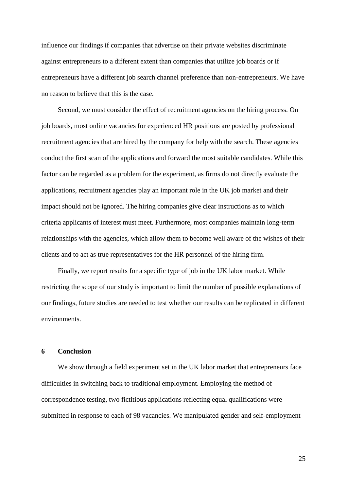influence our findings if companies that advertise on their private websites discriminate against entrepreneurs to a different extent than companies that utilize job boards or if entrepreneurs have a different job search channel preference than non-entrepreneurs. We have no reason to believe that this is the case.

Second, we must consider the effect of recruitment agencies on the hiring process. On job boards, most online vacancies for experienced HR positions are posted by professional recruitment agencies that are hired by the company for help with the search. These agencies conduct the first scan of the applications and forward the most suitable candidates. While this factor can be regarded as a problem for the experiment, as firms do not directly evaluate the applications, recruitment agencies play an important role in the UK job market and their impact should not be ignored. The hiring companies give clear instructions as to which criteria applicants of interest must meet. Furthermore, most companies maintain long-term relationships with the agencies, which allow them to become well aware of the wishes of their clients and to act as true representatives for the HR personnel of the hiring firm.

Finally, we report results for a specific type of job in the UK labor market. While restricting the scope of our study is important to limit the number of possible explanations of our findings, future studies are needed to test whether our results can be replicated in different environments.

#### **6 Conclusion**

We show through a field experiment set in the UK labor market that entrepreneurs face difficulties in switching back to traditional employment. Employing the method of correspondence testing, two fictitious applications reflecting equal qualifications were submitted in response to each of 98 vacancies. We manipulated gender and self-employment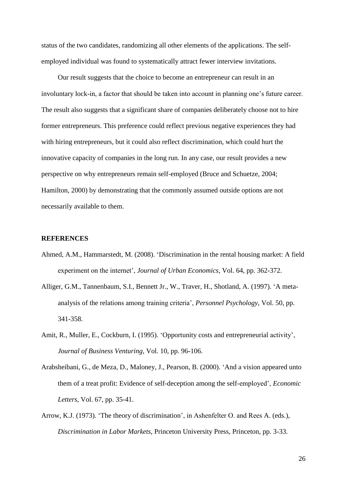status of the two candidates, randomizing all other elements of the applications. The selfemployed individual was found to systematically attract fewer interview invitations.

Our result suggests that the choice to become an entrepreneur can result in an involuntary lock-in, a factor that should be taken into account in planning one's future career. The result also suggests that a significant share of companies deliberately choose not to hire former entrepreneurs. This preference could reflect previous negative experiences they had with hiring entrepreneurs, but it could also reflect discrimination, which could hurt the innovative capacity of companies in the long run. In any case, our result provides a new perspective on why entrepreneurs remain self-employed (Bruce and Schuetze, 2004; Hamilton, 2000) by demonstrating that the commonly assumed outside options are not necessarily available to them.

#### **REFERENCES**

- Ahmed, A.M., Hammarstedt, M. (2008). 'Discrimination in the rental housing market: A field experiment on the internet', *Journal of Urban Economics*, Vol. 64, pp. 362-372.
- Alliger, G.M., Tannenbaum, S.I., Bennett Jr., W., Traver, H., Shotland, A. (1997). 'A metaanalysis of the relations among training criteria', *Personnel Psychology*, Vol. 50, pp. 341-358.
- Amit, R., Muller, E., Cockburn, I. (1995). 'Opportunity costs and entrepreneurial activity', *Journal of Business Venturing*, Vol. 10, pp. 96-106.
- Arabsheibani, G., de Meza, D., Maloney, J., Pearson, B. (2000). 'And a vision appeared unto them of a treat profit: Evidence of self-deception among the self-employed', *Economic Letters*, Vol. 67, pp. 35-41.
- Arrow, K.J. (1973). 'The theory of discrimination', in Ashenfelter O. and Rees A. (eds.), *Discrimination in Labor Markets*, Princeton University Press, Princeton, pp. 3-33.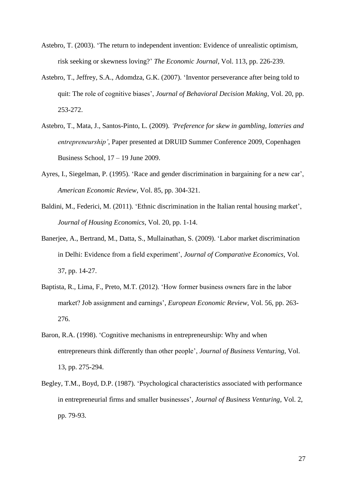- Astebro, T. (2003). 'The return to independent invention: Evidence of unrealistic optimism, risk seeking or skewness loving?' *The Economic Journal*, Vol. 113, pp. 226-239.
- Astebro, T., Jeffrey, S.A., Adomdza, G.K. (2007). 'Inventor perseverance after being told to quit: The role of cognitive biases', *Journal of Behavioral Decision Making*, Vol. 20, pp. 253-272.
- Astebro, T., Mata, J., Santos-Pinto, L. (2009). *'Preference for skew in gambling, lotteries and entrepreneurship'*, Paper presented at DRUID Summer Conference 2009, Copenhagen Business School, 17 – 19 June 2009.
- Ayres, I., Siegelman, P. (1995). 'Race and gender discrimination in bargaining for a new car', *American Economic Review*, Vol. 85, pp. 304-321.
- Baldini, M., Federici, M. (2011). 'Ethnic discrimination in the Italian rental housing market', *Journal of Housing Economics*, Vol. 20, pp. 1-14.
- Banerjee, A., Bertrand, M., Datta, S., Mullainathan, S. (2009). 'Labor market discrimination in Delhi: Evidence from a field experiment', *Journal of Comparative Economics*, Vol. 37, pp. 14-27.
- Baptista, R., Lima, F., Preto, M.T. (2012). 'How former business owners fare in the labor market? Job assignment and earnings', *European Economic Review*, Vol. 56, pp. 263- 276.
- Baron, R.A. (1998). 'Cognitive mechanisms in entrepreneurship: Why and when entrepreneurs think differently than other people', *Journal of Business Venturing*, Vol. 13, pp. 275-294.
- Begley, T.M., Boyd, D.P. (1987). 'Psychological characteristics associated with performance in entrepreneurial firms and smaller businesses', *Journal of Business Venturing*, Vol. 2, pp. 79-93.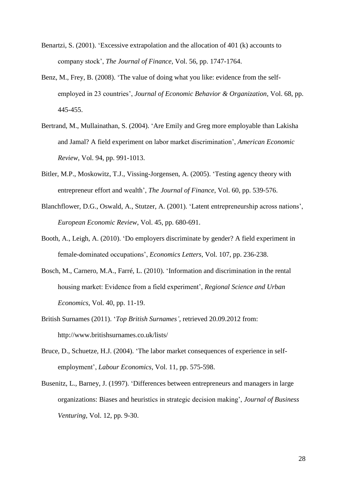- Benartzi, S. (2001). 'Excessive extrapolation and the allocation of 401 (k) accounts to company stock', *The Journal of Finance*, Vol. 56, pp. 1747-1764.
- Benz, M., Frey, B. (2008). 'The value of doing what you like: evidence from the selfemployed in 23 countries', *Journal of Economic Behavior & Organization*, Vol. 68, pp. 445-455.
- Bertrand, M., Mullainathan, S. (2004). 'Are Emily and Greg more employable than Lakisha and Jamal? A field experiment on labor market discrimination', *American Economic Review*, Vol. 94, pp. 991-1013.
- Bitler, M.P., Moskowitz, T.J., Vissing-Jorgensen, A. (2005). 'Testing agency theory with entrepreneur effort and wealth', *The Journal of Finance*, Vol. 60, pp. 539-576.
- Blanchflower, D.G., Oswald, A., Stutzer, A. (2001). 'Latent entrepreneurship across nations', *European Economic Review*, Vol. 45, pp. 680-691.
- Booth, A., Leigh, A. (2010). 'Do employers discriminate by gender? A field experiment in female-dominated occupations', *Economics Letters*, Vol. 107, pp. 236-238.
- Bosch, M., Carnero, M.A., Farré, L. (2010). 'Information and discrimination in the rental housing market: Evidence from a field experiment', *Regional Science and Urban Economics*, Vol. 40, pp. 11-19.
- British Surnames (2011). '*Top British Surnames'*, retrieved 20.09.2012 from: http://www.britishsurnames.co.uk/lists/
- Bruce, D., Schuetze, H.J. (2004). 'The labor market consequences of experience in selfemployment', *Labour Economics*, Vol. 11, pp. 575-598.
- Busenitz, L., Barney, J. (1997). 'Differences between entrepreneurs and managers in large organizations: Biases and heuristics in strategic decision making', *Journal of Business Venturing*, Vol. 12, pp. 9-30.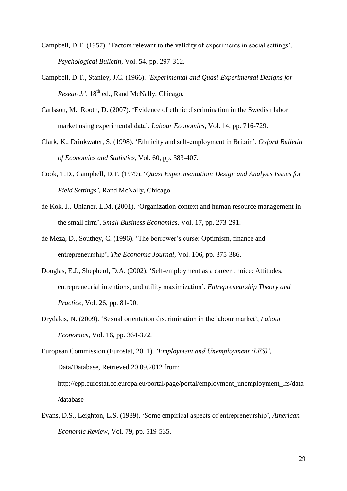- Campbell, D.T. (1957). 'Factors relevant to the validity of experiments in social settings', *Psychological Bulletin*, Vol. 54, pp. 297-312.
- Campbell, D.T., Stanley, J.C. (1966). *'Experimental and Quasi-Experimental Designs for Research'*, 18<sup>th</sup> ed., Rand McNally, Chicago.
- Carlsson, M., Rooth, D. (2007). 'Evidence of ethnic discrimination in the Swedish labor market using experimental data', *Labour Economics*, Vol. 14, pp. 716-729.
- Clark, K., Drinkwater, S. (1998). 'Ethnicity and self-employment in Britain', *Oxford Bulletin of Economics and Statistics*, Vol. 60, pp. 383-407.
- Cook, T.D., Campbell, D.T. (1979). '*Quasi Experimentation: Design and Analysis Issues for Field Settings'*, Rand McNally, Chicago.
- de Kok, J., Uhlaner, L.M. (2001). 'Organization context and human resource management in the small firm', *Small Business Economics*, Vol. 17, pp. 273-291.
- de Meza, D., Southey, C. (1996). 'The borrower's curse: Optimism, finance and entrepreneurship', *The Economic Journal*, Vol. 106, pp. 375-386.
- Douglas, E.J., Shepherd, D.A. (2002). 'Self-employment as a career choice: Attitudes, entrepreneurial intentions, and utility maximization', *Entrepreneurship Theory and Practice,* Vol. 26, pp. 81-90.
- Drydakis, N. (2009). 'Sexual orientation discrimination in the labour market', *Labour Economics*, Vol. 16, pp. 364-372.
- European Commission (Eurostat, 2011). *'Employment and Unemployment (LFS)'*, Data/Database, Retrieved 20.09.2012 from: http://epp.eurostat.ec.europa.eu/portal/page/portal/employment\_unemployment\_lfs/data /database
- Evans, D.S., Leighton, L.S. (1989). 'Some empirical aspects of entrepreneurship', *American Economic Review*, Vol. 79, pp. 519-535.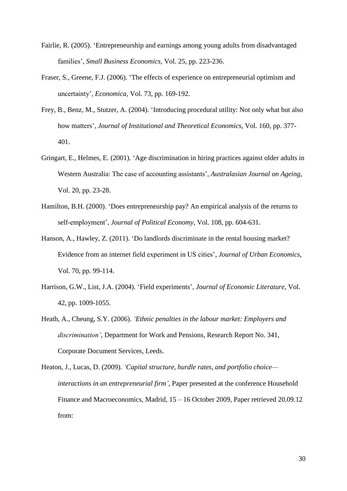- Fairlie, R. (2005). 'Entrepreneurship and earnings among young adults from disadvantaged families', *Small Business Economics*, Vol. 25, pp. 223-236.
- Fraser, S., Greene, F.J. (2006). 'The effects of experience on entrepreneurial optimism and uncertainty', *Economica*, Vol. 73, pp. 169-192.
- Frey, B., Benz, M., Stutzer, A. (2004). 'Introducing procedural utility: Not only what but also how matters', *Journal of Institutional and Theoretical Economics*, Vol. 160, pp. 377- 401.
- Gringart, E., Helmes, E. (2001). 'Age discrimination in hiring practices against older adults in Western Australia: The case of accounting assistants', *Australasian Journal on Ageing*, Vol. 20, pp. 23-28.
- Hamilton, B.H. (2000). 'Does entrepreneurship pay? An empirical analysis of the returns to self-employment', *Journal of Political Economy*, Vol. 108, pp. 604-631.
- Hanson, A., Hawley, Z. (2011). 'Do landlords discriminate in the rental housing market? Evidence from an internet field experiment in US cities', *Journal of Urban Economics*, Vol. 70, pp. 99-114.
- Harrison, G.W., List, J.A. (2004). 'Field experiments', *Journal of Economic Literature*, Vol. 42, pp. 1009-1055.
- Heath, A., Cheung, S.Y. (2006). *'Ethnic penalties in the labour market: Employers and discrimination'*, Department for Work and Pensions, Research Report No. 341, Corporate Document Services, Leeds.
- Heaton, J., Lucas, D. (2009). *'Capital structure, hurdle rates, and portfolio choice interactions in an entrepreneurial firm'*, Paper presented at the conference Household Finance and Macroeconomics, Madrid, 15 – 16 October 2009, Paper retrieved 20.09.12 from: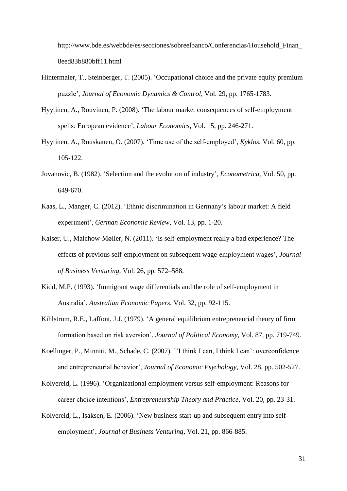http://www.bde.es/webbde/es/secciones/sobreelbanco/Conferencias/Household\_Finan\_ 8eed83b880bff11.html

- Hintermaier, T., Steinberger, T. (2005). 'Occupational choice and the private equity premium puzzle', *Journal of Economic Dynamics & Control*, Vol. 29, pp. 1765-1783.
- Hyytinen, A., Rouvinen, P. (2008). 'The labour market consequences of self-employment spells: European evidence', *Labour Economics*, Vol. 15, pp. 246-271.
- Hyytinen, A., Ruuskanen, O. (2007). 'Time use of the self-employed', *Kyklos*, Vol. 60, pp. 105-122.
- Jovanovic, B. (1982). 'Selection and the evolution of industry', *Econometrica*, Vol. 50, pp. 649-670.
- Kaas, L., Manger, C. (2012). 'Ethnic discrimination in Germany's labour market: A field experiment', *German Economic Review*, Vol. 13, pp. 1-20.
- Kaiser, U., Malchow-Møller, N. (2011). 'Is self-employment really a bad experience? The effects of previous self-employment on subsequent wage-employment wages', *Journal of Business Venturing*, Vol. 26, pp. 572–588.
- Kidd, M.P. (1993). 'Immigrant wage differentials and the role of self-employment in Australia', *Australian Economic Papers*, Vol. 32, pp. 92-115.
- Kihlstrom, R.E., Laffont, J.J. (1979). 'A general equilibrium entrepreneurial theory of firm formation based on risk aversion', *Journal of Political Economy*, Vol. 87, pp. 719-749.
- Koellinger, P., Minniti, M., Schade, C. (2007). ''I think I can, I think I can': overconfidence and entrepreneurial behavior', *Journal of Economic Psychology*, Vol. 28, pp. 502-527.
- Kolvereid, L. (1996). 'Organizational employment versus self-employment: Reasons for career choice intentions', *Entrepreneurship Theory and Practice*, Vol. 20, pp. 23-31.
- Kolvereid, L., Isaksen, E. (2006). 'New business start-up and subsequent entry into selfemployment', *Journal of Business Venturing*, Vol. 21, pp. 866-885.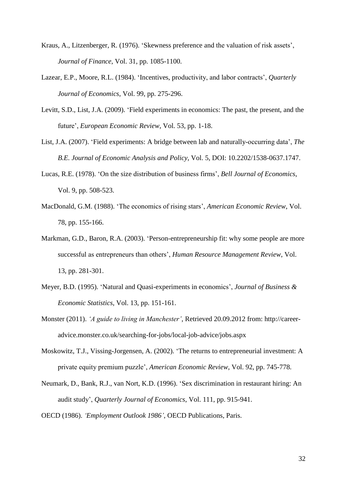- Kraus, A., Litzenberger, R. (1976). 'Skewness preference and the valuation of risk assets', *Journal of Finance*, Vol. 31, pp. 1085-1100.
- Lazear, E.P., Moore, R.L. (1984). 'Incentives, productivity, and labor contracts', *Quarterly Journal of Economics*, Vol. 99, pp. 275-296.
- Levitt, S.D., List, J.A. (2009). 'Field experiments in economics: The past, the present, and the future', *European Economic Review*, Vol. 53, pp. 1-18.
- List, J.A. (2007). 'Field experiments: A bridge between lab and naturally-occurring data', *The B.E. Journal of Economic Analysis and Policy*, Vol. 5, DOI: 10.2202/1538-0637.1747.
- Lucas, R.E. (1978). 'On the size distribution of business firms', *Bell Journal of Economics*, Vol. 9, pp. 508-523.
- MacDonald, G.M. (1988). 'The economics of rising stars', *American Economic Review*, Vol. 78, pp. 155-166.
- Markman, G.D., Baron, R.A. (2003). 'Person-entrepreneurship fit: why some people are more successful as entrepreneurs than others', *Human Resource Management Review*, Vol. 13, pp. 281-301.
- Meyer, B.D. (1995). 'Natural and Quasi-experiments in economics', *Journal of Business & Economic Statistics*, Vol. 13, pp. 151-161.
- Monster (2011). *'A guide to living in Manchester'*, Retrieved 20.09.2012 from: http://careeradvice.monster.co.uk/searching-for-jobs/local-job-advice/jobs.aspx
- Moskowitz, T.J., Vissing-Jorgensen, A. (2002). 'The returns to entrepreneurial investment: A private equity premium puzzle', *American Economic Review*, Vol. 92, pp. 745-778.
- Neumark, D., Bank, R.J., van Nort, K.D. (1996). 'Sex discrimination in restaurant hiring: An audit study', *Quarterly Journal of Economics*, Vol. 111, pp. 915-941.

OECD (1986). *'Employment Outlook 1986'*, OECD Publications, Paris.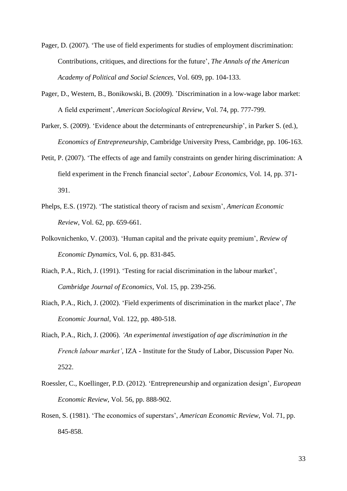- Pager, D. (2007). 'The use of field experiments for studies of employment discrimination: Contributions, critiques, and directions for the future', *The Annals of the American Academy of Political and Social Sciences*, Vol. 609, pp. 104-133.
- Pager, D., Western, B., Bonikowski, B. (2009). 'Discrimination in a low-wage labor market: A field experiment', *American Sociological Review*, Vol. 74, pp. 777-799.
- Parker, S. (2009). 'Evidence about the determinants of entrepreneurship', in Parker S. (ed.), *Economics of Entrepreneurship*, Cambridge University Press, Cambridge, pp. 106-163.
- Petit, P. (2007). 'The effects of age and family constraints on gender hiring discrimination: A field experiment in the French financial sector', *Labour Economics*, Vol. 14, pp. 371- 391.
- Phelps, E.S. (1972). 'The statistical theory of racism and sexism', *American Economic Review*, Vol. 62, pp. 659-661.
- Polkovnichenko, V. (2003). 'Human capital and the private equity premium', *Review of Economic Dynamics*, Vol. 6, pp. 831-845.
- Riach, P.A., Rich, J. (1991). 'Testing for racial discrimination in the labour market', *Cambridge Journal of Economics*, Vol. 15, pp. 239-256.
- Riach, P.A., Rich, J. (2002). 'Field experiments of discrimination in the market place', *The Economic Journal*, Vol. 122, pp. 480-518.
- Riach, P.A., Rich, J. (2006). *'An experimental investigation of age discrimination in the French labour market'*, IZA - Institute for the Study of Labor, Discussion Paper No. 2522.
- Roessler, C., Koellinger, P.D. (2012). 'Entrepreneurship and organization design', *European Economic Review*, Vol. 56, pp. 888-902.
- Rosen, S. (1981). 'The economics of superstars', *American Economic Review*, Vol. 71, pp. 845-858.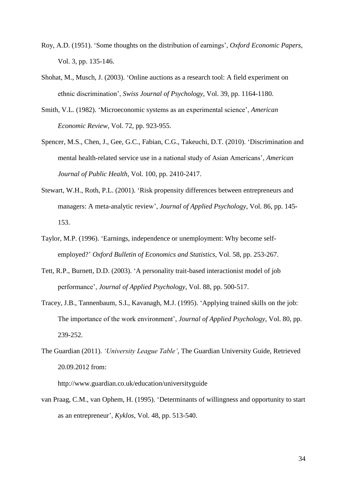- Roy, A.D. (1951). 'Some thoughts on the distribution of earnings', *Oxford Economic Papers*, Vol. 3, pp. 135-146.
- Shohat, M., Musch, J. (2003). 'Online auctions as a research tool: A field experiment on ethnic discrimination', *Swiss Journal of Psychology*, Vol. 39, pp. 1164-1180.
- Smith, V.L. (1982). 'Microeconomic systems as an experimental science', *American Economic Review*, Vol. 72, pp. 923-955.
- Spencer, M.S., Chen, J., Gee, G.C., Fabian, C.G., Takeuchi, D.T. (2010). 'Discrimination and mental health-related service use in a national study of Asian Americans', *American Journal of Public Health*, Vol. 100, pp. 2410-2417.
- Stewart, W.H., Roth, P.L. (2001). 'Risk propensity differences between entrepreneurs and managers: A meta-analytic review', *Journal of Applied Psychology*, Vol. 86, pp. 145- 153.
- Taylor, M.P. (1996). 'Earnings, independence or unemployment: Why become selfemployed?' *Oxford Bulletin of Economics and Statistics*, Vol. 58, pp. 253-267.
- Tett, R.P., Burnett, D.D. (2003). 'A personality trait-based interactionist model of job performance', *Journal of Applied Psychology*, Vol. 88, pp. 500-517.
- Tracey, J.B., Tannenbaum, S.I., Kavanagh, M.J. (1995). 'Applying trained skills on the job: The importance of the work environment', *Journal of Applied Psychology*, Vol. 80, pp. 239-252.
- The Guardian (2011). *'University League Table'*, The Guardian University Guide, Retrieved 20.09.2012 from:

http://www.guardian.co.uk/education/universityguide

van Praag, C.M., van Ophem, H. (1995). 'Determinants of willingness and opportunity to start as an entrepreneur', *Kyklos*, Vol. 48, pp. 513-540.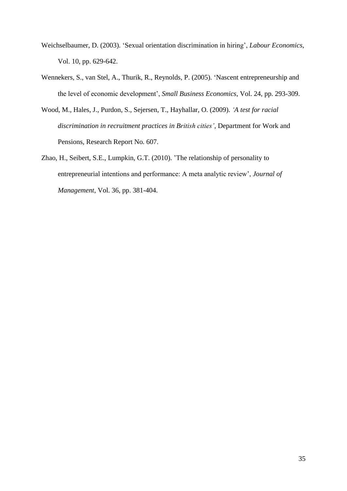- Weichselbaumer, D. (2003). 'Sexual orientation discrimination in hiring', *Labour Economics*, Vol. 10, pp. 629-642.
- Wennekers, S., van Stel, A., Thurik, R., Reynolds, P. (2005). 'Nascent entrepreneurship and the level of economic development', *Small Business Economics*, Vol. 24, pp. 293-309.
- Wood, M., Hales, J., Purdon, S., Sejersen, T., Hayhallar, O. (2009). *'A test for racial discrimination in recruitment practices in British cities'*, Department for Work and Pensions, Research Report No. 607.
- Zhao, H., Seibert, S.E., Lumpkin, G.T. (2010). 'The relationship of personality to entrepreneurial intentions and performance: A meta analytic review', *Journal of Management*, Vol. 36, pp. 381-404.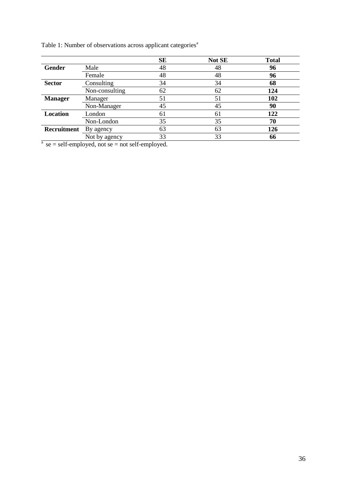|                |                | <b>SE</b> | Not SE | <b>Total</b> |
|----------------|----------------|-----------|--------|--------------|
| <b>Gender</b>  | Male           | 48        | 48     | 96           |
|                | Female         | 48        | 48     | 96           |
| <b>Sector</b>  | Consulting     | 34        | 34     | 68           |
|                | Non-consulting | 62        | 62     | 124          |
| <b>Manager</b> | Manager        | 51        | 51     | 102          |
|                | Non-Manager    | 45        | 45     | 90           |
| Location       | London         | 61        | 61     | 122          |
|                | Non-London     | 35        | 35     | 70           |
| Recruitment    | By agency      | 63        | 63     | 126          |
|                | Not by agency  | 33        | 33     | 66           |

 $a$  se = self-employed, not se = not self-employed.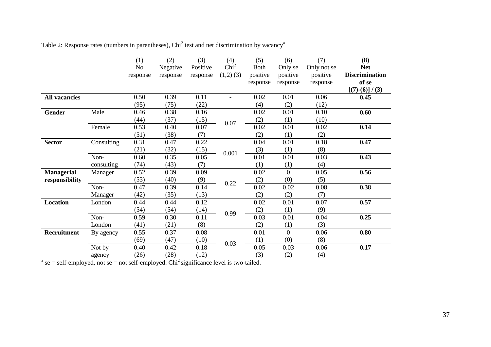|                                                                                                        |            | (1)      | (2)      | (3)      | (4)              | (5)         | (6)            | (7)         | (8)                   |
|--------------------------------------------------------------------------------------------------------|------------|----------|----------|----------|------------------|-------------|----------------|-------------|-----------------------|
|                                                                                                        |            | No       | Negative | Positive | Chi <sup>2</sup> | <b>Both</b> | Only se        | Only not se | <b>Net</b>            |
|                                                                                                        |            | response | response | response | $(1,2)$ $(3)$    | positive    | positive       | positive    | <b>Discrimination</b> |
|                                                                                                        |            |          |          |          |                  | response    | response       | response    | of se                 |
|                                                                                                        |            |          |          |          |                  |             |                |             | $[(7)-(6)]/(3)$       |
| <b>All vacancies</b>                                                                                   |            | 0.50     | 0.39     | 0.11     |                  | 0.02        | 0.01           | 0.06        | 0.45                  |
|                                                                                                        |            | (95)     | (75)     | (22)     |                  | (4)         | (2)            | (12)        |                       |
| Gender                                                                                                 | Male       | 0.46     | 0.38     | 0.16     |                  | 0.02        | 0.01           | 0.10        | 0.60                  |
|                                                                                                        |            | (44)     | (37)     | (15)     | 0.07             | (2)         | (1)            | (10)        |                       |
|                                                                                                        | Female     | 0.53     | 0.40     | 0.07     |                  | 0.02        | 0.01           | 0.02        | 0.14                  |
|                                                                                                        |            | (51)     | (38)     | (7)      |                  | (2)         | (1)            | (2)         |                       |
| <b>Sector</b>                                                                                          | Consulting | 0.31     | 0.47     | 0.22     |                  | 0.04        | 0.01           | 0.18        | 0.47                  |
|                                                                                                        |            | (21)     | (32)     | (15)     | 0.001            | (3)         | (1)            | (8)         |                       |
|                                                                                                        | Non-       | 0.60     | 0.35     | 0.05     |                  | 0.01        | 0.01           | 0.03        | 0.43                  |
|                                                                                                        | consulting | (74)     | (43)     | (7)      |                  | (1)         | (1)            | (4)         |                       |
| <b>Managerial</b>                                                                                      | Manager    | 0.52     | 0.39     | 0.09     |                  | 0.02        | $\theta$       | 0.05        | 0.56                  |
| responsibility                                                                                         |            | (53)     | (40)     | (9)      | 0.22             | (2)         | (0)            | (5)         |                       |
|                                                                                                        | Non-       | 0.47     | 0.39     | 0.14     |                  | 0.02        | 0.02           | 0.08        | 0.38                  |
|                                                                                                        | Manager    | (42)     | (35)     | (13)     |                  | (2)         | (2)            | (7)         |                       |
| Location                                                                                               | London     | 0.44     | 0.44     | 0.12     |                  | 0.02        | 0.01           | 0.07        | 0.57                  |
|                                                                                                        |            | (54)     | (54)     | (14)     |                  | (2)         | (1)            | (9)         |                       |
|                                                                                                        | Non-       | 0.59     | 0.30     | 0.11     | 0.99             | 0.03        | 0.01           | 0.04        | 0.25                  |
|                                                                                                        | London     | (41)     | (21)     | (8)      |                  | (2)         | (1)            | (3)         |                       |
| <b>Recruitment</b>                                                                                     | By agency  | 0.55     | 0.37     | 0.08     |                  | 0.01        | $\overline{0}$ | 0.06        | 0.80                  |
|                                                                                                        |            | (69)     | (47)     | (10)     |                  | (1)         | (0)            | (8)         |                       |
|                                                                                                        | Not by     | 0.40     | 0.42     | 0.18     | 0.03             | 0.05        | 0.03           | 0.06        | 0.17                  |
|                                                                                                        | agency     | (26)     | (28)     | (12)     |                  | (3)         | (2)            | (4)         |                       |
| $a$ se = self-employed, not se = not self-employed. Chi <sup>2</sup> significance level is two-tailed. |            |          |          |          |                  |             |                |             |                       |

Table 2: Response rates (numbers in parentheses), Chi<sup>2</sup> test and net discrimination by vacancy<sup>a</sup>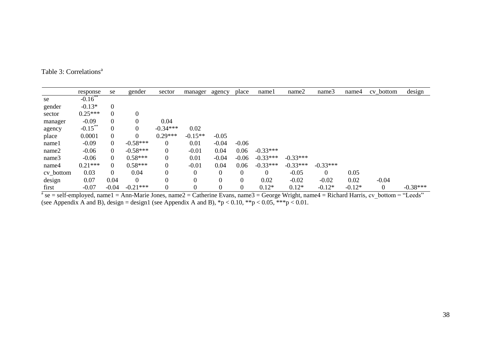| Table 3: Correlations <sup>a</sup> |
|------------------------------------|
|------------------------------------|

|           | response   | se       | gender     | sector           | manager        | agency   | place    | namel      | name2      | name3      | name4    | $cv_$ <sub>b</sub> ottom                                                                                                                         | design     |
|-----------|------------|----------|------------|------------------|----------------|----------|----------|------------|------------|------------|----------|--------------------------------------------------------------------------------------------------------------------------------------------------|------------|
| se        | $-0.16$ ** |          |            |                  |                |          |          |            |            |            |          |                                                                                                                                                  |            |
| gender    | $-0.13*$   | $\Omega$ |            |                  |                |          |          |            |            |            |          |                                                                                                                                                  |            |
| sector    | $0.25***$  | $\Omega$ | 0          |                  |                |          |          |            |            |            |          |                                                                                                                                                  |            |
| manager   | $-0.09$    | $\Omega$ | 0          | 0.04             |                |          |          |            |            |            |          |                                                                                                                                                  |            |
| agency    | $-0.15***$ | $\theta$ | 0          | $-0.34***$       | 0.02           |          |          |            |            |            |          |                                                                                                                                                  |            |
| place     | 0.0001     | $\Omega$ | 0          | $0.29***$        | $-0.15**$      | $-0.05$  |          |            |            |            |          |                                                                                                                                                  |            |
| namel     | $-0.09$    | 0        | $-0.58***$ | 0                | 0.01           | $-0.04$  | $-0.06$  |            |            |            |          |                                                                                                                                                  |            |
| name2     | $-0.06$    | 0        | $-0.58***$ | $\boldsymbol{0}$ | $-0.01$        | 0.04     | 0.06     | $-0.33***$ |            |            |          |                                                                                                                                                  |            |
| name3     | $-0.06$    | 0        | $0.58***$  | $\boldsymbol{0}$ | 0.01           | $-0.04$  | $-0.06$  | $-0.33***$ | $-0.33***$ |            |          |                                                                                                                                                  |            |
| name4     | $0.21***$  | $\Omega$ | $0.58***$  | $\boldsymbol{0}$ | $-0.01$        | 0.04     | 0.06     | $-0.33***$ | $-0.33***$ | $-0.33***$ |          |                                                                                                                                                  |            |
| cv_bottom | 0.03       | 0        | 0.04       | 0                | $\overline{0}$ | $\theta$ | $\theta$ | 0          | $-0.05$    | $\Omega$   | 0.05     |                                                                                                                                                  |            |
| design    | 0.07       | 0.04     | $\theta$   | $\boldsymbol{0}$ |                | $\theta$ | $\Omega$ | 0.02       | $-0.02$    | $-0.02$    | 0.02     | $-0.04$                                                                                                                                          |            |
| first     | $-0.07$    | $-0.04$  | $-0.21***$ | $\boldsymbol{0}$ |                | $\theta$ | $\Omega$ | $0.12*$    | $0.12*$    | $-0.12*$   | $-0.12*$ |                                                                                                                                                  | $-0.38***$ |
|           |            |          |            |                  |                |          |          |            |            |            |          | $a$ se = self-employed, name 1 = Ann-Marie Jones, name 2 = Catherine Evans, name 3 = George Wright, name 4 = Richard Harris, cv bottom = "Leeds" |            |

(see Appendix A and B), design = design1 (see Appendix A and B),  ${}^*p$  < 0.10,  ${}^*{}^*p$  < 0.05,  ${}^{*}{}^*{}^*p$  < 0.01.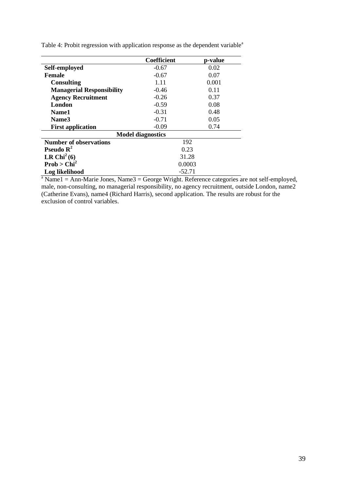|                                  | Coefficient              | p-value |
|----------------------------------|--------------------------|---------|
| Self-employed                    | $-0.67$                  | 0.02    |
| <b>Female</b>                    | $-0.67$                  | 0.07    |
| <b>Consulting</b>                | 1.11                     | 0.001   |
| <b>Managerial Responsibility</b> | $-0.46$                  | 0.11    |
| <b>Agency Recruitment</b>        | $-0.26$                  | 0.37    |
| London                           | $-0.59$                  | 0.08    |
| Name1                            | $-0.31$                  | 0.48    |
| Name3                            | $-0.71$                  | 0.05    |
| <b>First application</b>         | $-0.09$                  | 0.74    |
|                                  | <b>Model diagnostics</b> |         |
| <b>Number of observations</b>    | 192                      |         |
| <b>Pseudo</b> $\mathbb{R}^2$     | 0.23                     |         |
| LR Chi <sup>2</sup> $(6)$        | 31.28                    |         |
| Prob > Chi <sup>2</sup>          | 0.0003                   |         |
| Log likelihood                   | $-52.71$                 |         |

Table 4: Probit regression with application response as the dependent variable<sup>a</sup>

 $a<sup>a</sup>$  Name1 = Ann-Marie Jones, Name3 = George Wright. Reference categories are not self-employed, male, non-consulting, no managerial responsibility, no agency recruitment, outside London, name2 (Catherine Evans), name4 (Richard Harris), second application. The results are robust for the exclusion of control variables.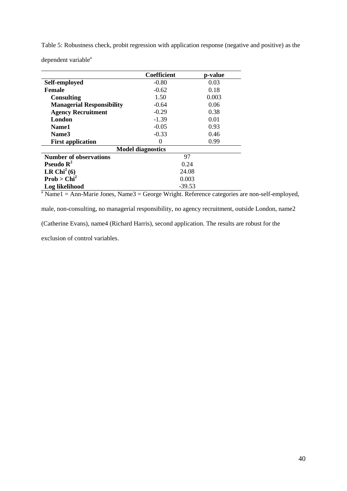Table 5: Robustness check, probit regression with application response (negative and positive) as the

dependent variable<sup>a</sup>

|                                  | <b>Coefficient</b>       | p-value |
|----------------------------------|--------------------------|---------|
| Self-employed                    | $-0.80$                  | 0.03    |
| Female                           | $-0.62$                  | 0.18    |
| <b>Consulting</b>                | 1.50                     | 0.003   |
| <b>Managerial Responsibility</b> | $-0.64$                  | 0.06    |
| <b>Agency Recruitment</b>        | $-0.29$                  | 0.38    |
| London                           | $-1.39$                  | 0.01    |
| <b>Name1</b>                     | $-0.05$                  | 0.93    |
| Name3                            | $-0.33$                  | 0.46    |
| <b>First application</b>         | 0                        | 0.99    |
|                                  | <b>Model diagnostics</b> |         |
| <b>Number of observations</b>    | 97                       |         |
| Pseudo $\mathbb{R}^2$            | 0.24                     |         |
| LR Chi <sup>2</sup> $(6)$        | 24.08                    |         |
| Prob > Chi <sup>2</sup>          | 0.003                    |         |
| Log likelihood                   | $-39.53$                 |         |

 $a<sup>a</sup>$  Name1 = Ann-Marie Jones, Name3 = George Wright. Reference categories are non-self-employed,

male, non-consulting, no managerial responsibility, no agency recruitment, outside London, name2

(Catherine Evans), name4 (Richard Harris), second application. The results are robust for the

exclusion of control variables.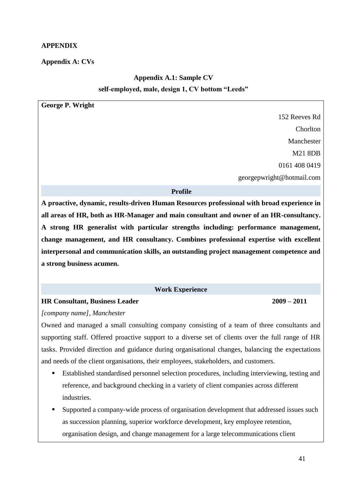# **APPENDIX**

# **Appendix A: CVs**

# **Appendix A.1: Sample CV self-employed, male, design 1, CV bottom "Leeds"**

**George P. Wright**

152 Reeves Rd Chorlton Manchester M21 8DB 0161 408 0419 georgepwright@hotmail.com

#### **Profile**

**A proactive, dynamic, results-driven Human Resources professional with broad experience in all areas of HR, both as HR-Manager and main consultant and owner of an HR-consultancy. A strong HR generalist with particular strengths including: performance management, change management, and HR consultancy. Combines professional expertise with excellent interpersonal and communication skills, an outstanding project management competence and a strong business acumen.**

### **Work Experience**

### **HR Consultant, Business Leader 2009 – 2011**

*[company name], Manchester*

Owned and managed a small consulting company consisting of a team of three consultants and supporting staff. Offered proactive support to a diverse set of clients over the full range of HR tasks. Provided direction and guidance during organisational changes, balancing the expectations and needs of the client organisations, their employees, stakeholders, and customers.

- Established standardised personnel selection procedures, including interviewing, testing and reference, and background checking in a variety of client companies across different industries.
- Supported a company-wide process of organisation development that addressed issues such as succession planning, superior workforce development, key employee retention, organisation design, and change management for a large telecommunications client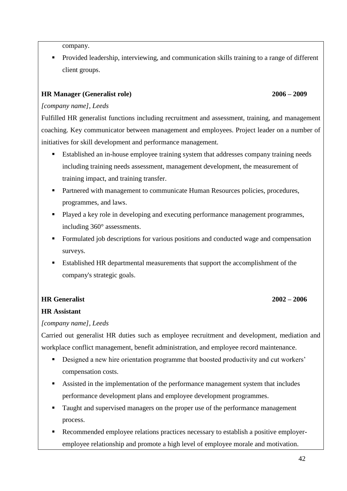company.

 Provided leadership, interviewing, and communication skills training to a range of different client groups.

# **HR Manager (Generalist role) 2006 – 2009**

# *[company name], Leeds*

Fulfilled HR generalist functions including recruitment and assessment, training, and management coaching. Key communicator between management and employees. Project leader on a number of initiatives for skill development and performance management.

- Established an in-house employee training system that addresses company training needs including training needs assessment, management development, the measurement of training impact, and training transfer.
- **Partnered with management to communicate Human Resources policies, procedures,** programmes, and laws.
- Played a key role in developing and executing performance management programmes, including 360° assessments.
- Formulated job descriptions for various positions and conducted wage and compensation surveys.
- Established HR departmental measurements that support the accomplishment of the company's strategic goals.

# **HR Generalist 2002 – 2006**

# **HR Assistant**

# *[company name], Leeds*

Carried out generalist HR duties such as employee recruitment and development, mediation and workplace conflict management, benefit administration, and employee record maintenance.

- Designed a new hire orientation programme that boosted productivity and cut workers' compensation costs.
- Assisted in the implementation of the performance management system that includes performance development plans and employee development programmes.
- Taught and supervised managers on the proper use of the performance management process.
- Recommended employee relations practices necessary to establish a positive employeremployee relationship and promote a high level of employee morale and motivation.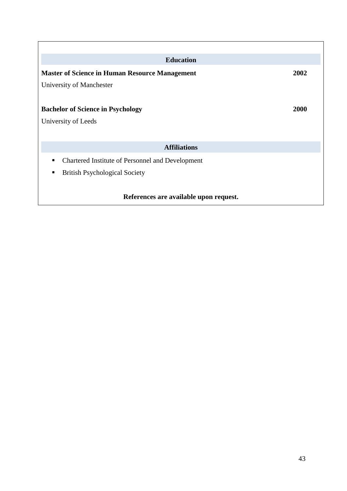| <b>Education</b>                                      |      |  |  |  |  |
|-------------------------------------------------------|------|--|--|--|--|
| <b>Master of Science in Human Resource Management</b> | 2002 |  |  |  |  |
| University of Manchester                              |      |  |  |  |  |
|                                                       |      |  |  |  |  |
| 2000<br><b>Bachelor of Science in Psychology</b>      |      |  |  |  |  |
| University of Leeds                                   |      |  |  |  |  |
|                                                       |      |  |  |  |  |
| <b>Affiliations</b>                                   |      |  |  |  |  |
| Chartered Institute of Personnel and Development<br>п |      |  |  |  |  |
| <b>British Psychological Society</b><br>٠             |      |  |  |  |  |
|                                                       |      |  |  |  |  |
| References are available upon request.                |      |  |  |  |  |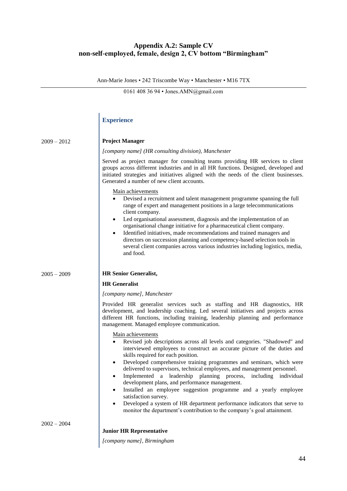# **Appendix A.2: Sample CV non-self-employed, female, design 2, CV bottom "Birmingham"**

Ann-Marie Jones • 242 Triscombe Way • Manchester • M16 7TX

0161 408 36 94 • Jones.AMN@gmail.com

# **Experience**

| $2009 - 2012$ | <b>Project Manager</b>                                                                                                                                                                                                                                                                                                                                                                                                                                                                                                                                                                                                                                                                                                                                            |
|---------------|-------------------------------------------------------------------------------------------------------------------------------------------------------------------------------------------------------------------------------------------------------------------------------------------------------------------------------------------------------------------------------------------------------------------------------------------------------------------------------------------------------------------------------------------------------------------------------------------------------------------------------------------------------------------------------------------------------------------------------------------------------------------|
|               | [company name] (HR consulting division), Manchester                                                                                                                                                                                                                                                                                                                                                                                                                                                                                                                                                                                                                                                                                                               |
|               | Served as project manager for consulting teams providing HR services to client<br>groups across different industries and in all HR functions. Designed, developed and<br>initiated strategies and initiatives aligned with the needs of the client businesses.<br>Generated a number of new client accounts.                                                                                                                                                                                                                                                                                                                                                                                                                                                      |
|               | Main achievements<br>Devised a recruitment and talent management programme spanning the full<br>$\bullet$<br>range of expert and management positions in a large telecommunications<br>client company.<br>Led organisational assessment, diagnosis and the implementation of an<br>$\bullet$<br>organisational change initiative for a pharmaceutical client company.<br>Identified initiatives, made recommendations and trained managers and<br>$\bullet$<br>directors on succession planning and competency-based selection tools in<br>several client companies across various industries including logistics, media,<br>and food.                                                                                                                            |
| $2005 - 2009$ | <b>HR Senior Generalist,</b>                                                                                                                                                                                                                                                                                                                                                                                                                                                                                                                                                                                                                                                                                                                                      |
|               | <b>HR</b> Generalist                                                                                                                                                                                                                                                                                                                                                                                                                                                                                                                                                                                                                                                                                                                                              |
|               | [company name], Manchester                                                                                                                                                                                                                                                                                                                                                                                                                                                                                                                                                                                                                                                                                                                                        |
|               | Provided HR generalist services such as staffing and HR diagnostics, HR<br>development, and leadership coaching. Led several initiatives and projects across<br>different HR functions, including training, leadership planning and performance<br>management. Managed employee communication.                                                                                                                                                                                                                                                                                                                                                                                                                                                                    |
|               | Main achievements<br>Revised job descriptions across all levels and categories. "Shadowed" and<br>interviewed employees to construct an accurate picture of the duties and<br>skills required for each position.<br>Developed comprehensive training programmes and seminars, which were<br>$\bullet$<br>delivered to supervisors, technical employees, and management personnel.<br>Implemented a leadership planning process, including<br>individual<br>development plans, and performance management.<br>Installed an employee suggestion programme and a yearly employee<br>satisfaction survey.<br>Developed a system of HR department performance indicators that serve to<br>٠<br>monitor the department's contribution to the company's goal attainment. |
| $2002 - 2004$ |                                                                                                                                                                                                                                                                                                                                                                                                                                                                                                                                                                                                                                                                                                                                                                   |
|               | <b>Junior HR Representative</b>                                                                                                                                                                                                                                                                                                                                                                                                                                                                                                                                                                                                                                                                                                                                   |
|               | [company name], Birmingham                                                                                                                                                                                                                                                                                                                                                                                                                                                                                                                                                                                                                                                                                                                                        |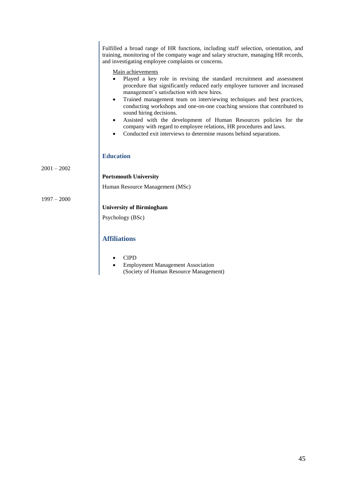Fulfilled a broad range of HR functions, including staff selection, orientation, and training, monitoring of the company wage and salary structure, managing HR records, and investigating employee complaints or concerns.

Main achievements

- Played a key role in revising the standard recruitment and assessment procedure that significantly reduced early employee turnover and increased management's satisfaction with new hires.
- Trained management team on interviewing techniques and best practices, conducting workshops and one-on-one coaching sessions that contributed to sound hiring decisions.
- Assisted with the development of Human Resources policies for the company with regard to employee relations, HR procedures and laws.
- Conducted exit interviews to determine reasons behind separations.

#### **Education**

 $2001 - 2002$ 

**Portsmouth University**

Human Resource Management (MSc)

1997 – 2000

# **University of Birmingham** Psychology (BSc)

#### **Affiliations**

- CIPD
- Employment Management Association (Society of Human Resource Management)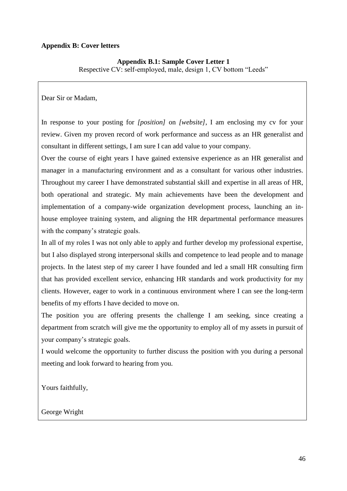# **Appendix B: Cover letters**

# **Appendix B.1: Sample Cover Letter 1**

Respective CV: self-employed, male, design 1, CV bottom "Leeds"

Dear Sir or Madam,

In response to your posting for *[position]* on *[website]*, I am enclosing my cv for your review. Given my proven record of work performance and success as an HR generalist and consultant in different settings, I am sure I can add value to your company.

Over the course of eight years I have gained extensive experience as an HR generalist and manager in a manufacturing environment and as a consultant for various other industries. Throughout my career I have demonstrated substantial skill and expertise in all areas of HR, both operational and strategic. My main achievements have been the development and implementation of a company-wide organization development process, launching an inhouse employee training system, and aligning the HR departmental performance measures with the company's strategic goals.

In all of my roles I was not only able to apply and further develop my professional expertise, but I also displayed strong interpersonal skills and competence to lead people and to manage projects. In the latest step of my career I have founded and led a small HR consulting firm that has provided excellent service, enhancing HR standards and work productivity for my clients. However, eager to work in a continuous environment where I can see the long-term benefits of my efforts I have decided to move on.

The position you are offering presents the challenge I am seeking, since creating a department from scratch will give me the opportunity to employ all of my assets in pursuit of your company's strategic goals.

I would welcome the opportunity to further discuss the position with you during a personal meeting and look forward to hearing from you.

Yours faithfully,

George Wright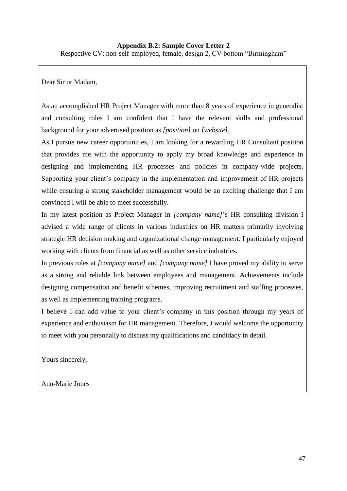Dear Sir or Madam,

As an accomplished HR Project Manager with more than 8 years of experience in generalist and consulting roles I am confident that I have the relevant skills and professional background for your advertised position as *[position]* on *[website]*.

As I pursue new career opportunities, I am looking for a rewarding HR Consultant position that provides me with the opportunity to apply my broad knowledge and experience in designing and implementing HR processes and policies in company-wide projects. Supporting your client's company in the implementation and improvement of HR projects while ensuring a strong stakeholder management would be an exciting challenge that I am convinced I will be able to meet successfully.

In my latest position as Project Manager in *[company name]*'s HR consulting division I advised a wide range of clients in various industries on HR matters primarily involving strategic HR decision making and organizational change management. I particularly enjoyed working with clients from financial as well as other service industries.

In previous roles at *[company name]* and *[company name]* I have proved my ability to serve as a strong and reliable link between employees and management. Achievements include designing compensation and benefit schemes, improving recruitment and staffing processes, as well as implementing training programs.

I believe I can add value to your client's company in this position through my years of experience and enthusiasm for HR management. Therefore, I would welcome the opportunity to meet with you personally to discuss my qualifications and candidacy in detail.

Yours sincerely,

Ann-Marie Jones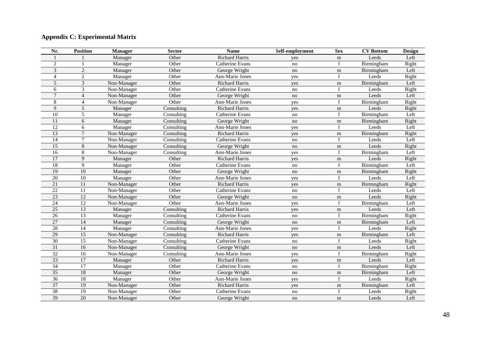#### **Appendix C: Experimental Matrix**

| Nr.             | <b>Position</b> | <b>Manager</b> | <b>Sector</b> | <b>Name</b>           | Self-employment | <b>Sex</b>  | <b>CV</b> Bottom | <b>Design</b> |
|-----------------|-----------------|----------------|---------------|-----------------------|-----------------|-------------|------------------|---------------|
|                 |                 | Manager        | Other         | Richard Harris        | yes             | m           | Leeds            | Left          |
| 2               |                 | Manager        | Other         | Catherine Evans       | no              |             | Birmingham       | Right         |
| 3               | $\overline{2}$  | Manager        | Other         | George Wright         | no              | m           | Birmingham       | Left          |
| $\overline{4}$  | $\overline{c}$  | Manager        | Other         | Ann-Marie Jones       | yes             | $\mathbf f$ | Leeds            | Right         |
| 5               | 3               | Non-Manager    | Other         | Richard Harris        | yes             | ${\rm m}$   | Birmingham       | Left          |
| 6               | 3               | Non-Manager    | Other         | Catherine Evans       | no              | f           | Leeds            | Right         |
| $\overline{7}$  | $\overline{4}$  | Non-Manager    | Other         | George Wright         | no              | $\mathbf m$ | Leeds            | Left          |
| 8               | $\overline{4}$  | Non-Manager    | Other         | Ann-Marie Jones       | yes             |             | Birmingham       | Right         |
| 9               | 5               | Manager        | Consulting    | <b>Richard Harris</b> | yes             | m           | Leeds            | Right         |
| 10              | 5               | Manager        | Consulting    | Catherine Evans       | no              | f           | Birmingham       | Left          |
| 11              | 6               | Manager        | Consulting    | George Wright         | no              | m           | Birmingham       | Right         |
| $\overline{12}$ | 6               | Manager        | Consulting    | Ann-Marie Jones       | yes             |             | Leeds            | Left          |
| 13              | $7\phantom{.0}$ | Non-Manager    | Consulting    | Richard Harris        | yes             | $\mathbf m$ | Birmingham       | Right         |
| 14              | $\overline{7}$  | Non-Manager    | Consulting    | Catherine Evans       | no              |             | Leeds            | Left          |
| $\overline{15}$ | $\overline{8}$  | Non-Manager    | Consulting    | George Wright         | no              | $\mathbf m$ | Leeds            | Right         |
| 16              | $\overline{8}$  | Non-Manager    | Consulting    | Ann-Marie Jones       | yes             |             | Birmingham       | Left          |
| 17              | 9               | Manager        | Other         | Richard Harris        | yes             | ${\rm m}$   | Leeds            | Right         |
| $\overline{18}$ | 9               | Manager        | Other         | Catherine Evans       | no              |             | Birmingham       | Left          |
| 19              | $\overline{10}$ | Manager        | Other         | George Wright         | no              | m           | Birmingham       | Right         |
| 20              | 10              | Manager        | Other         | Ann-Marie Jones       | yes             | f           | Leeds            | Left          |
| $\overline{21}$ | $\overline{11}$ | Non-Manager    | Other         | <b>Richard Harris</b> | yes             | m           | Birmingham       | Right         |
| $\overline{22}$ | $\overline{11}$ | Non-Manager    | Other         | Catherine Evans       | no              | f           | Leeds            | Left          |
| 23              | 12              | Non-Manager    | Other         | George Wright         | no              | ${\rm m}$   | Leeds            | Right         |
| 24              | 12              | Non-Manager    | Other         | Ann-Marie Jones       | yes             | f           | Birmingham       | Left          |
| 25              | 13              | Manager        | Consulting    | <b>Richard Harris</b> | yes             | m           | Leeds            | Left          |
| 26              | 13              | Manager        | Consulting    | Catherine Evans       | no              | f           | Birmingham       | Right         |
| 27              | 14              | Manager        | Consulting    | George Wright         | no              | m           | Birmingham       | Left          |
| $\overline{28}$ | $\overline{14}$ | Manager        | Consulting    | Ann-Marie Jones       | yes             |             | Leeds            | Right         |
| 29              | $\overline{15}$ | Non-Manager    | Consulting    | <b>Richard Harris</b> | yes             | ${\rm m}$   | Birmingham       | Left          |
| $\overline{30}$ | $\overline{15}$ | Non-Manager    | Consulting    | Catherine Evans       | no              |             | Leeds            | Right         |
| $\overline{31}$ | 16              | Non-Manager    | Consulting    | George Wright         | no              | ${\rm m}$   | Leeds            | Left          |
| $\overline{32}$ | 16              | Non-Manager    | Consulting    | Ann-Marie Jones       | yes             |             | Birmingham       | Right         |
| 33              | 17              | Manager        | Other         | Richard Harris        | yes             | m           | Leeds            | Left          |
| 34              | 17              | Manager        | Other         | Catherine Evans       | no              |             | Birmingham       | Right         |
| 35              | 18              | Manager        | Other         | George Wright         | no              | m           | Birmingham       | Left          |
| 36              | $\overline{18}$ | Manager        | Other         | Ann-Marie Jones       | yes             |             | Leeds            | Right         |
| 37              | 19              | Non-Manager    | Other         | <b>Richard Harris</b> | yes             | m           | Birmingham       | Left          |
| $\overline{38}$ | $\overline{19}$ | Non-Manager    | Other         | Catherine Evans       | no              | $\mathbf f$ | Leeds            | Right         |
| 39              | 20              | Non-Manager    | Other         | George Wright         | no              | ${\rm m}$   | Leeds            | Left          |